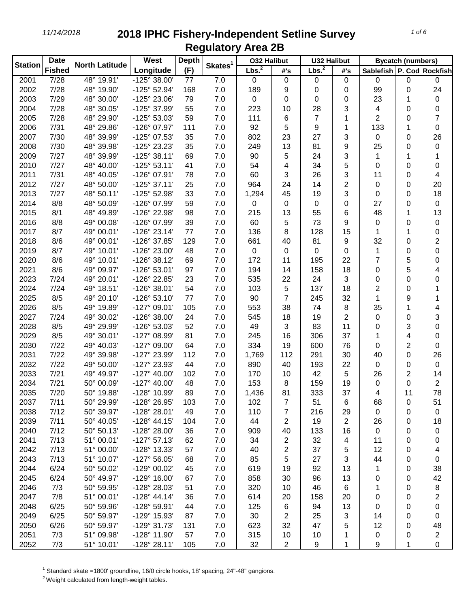| <b>Station</b> | <b>Date</b>       |                       | West                  | <b>Depth</b> |                     | <b>032 Halibut</b> |                     | <b>U32 Halibut</b> |                         | <b>Bycatch (numbers)</b>      |                |                |
|----------------|-------------------|-----------------------|-----------------------|--------------|---------------------|--------------------|---------------------|--------------------|-------------------------|-------------------------------|----------------|----------------|
|                | <b>Fished</b>     | <b>North Latitude</b> | Longitude             | (F)          | Skates <sup>1</sup> | Lbs. <sup>2</sup>  | #'s                 | Lbs. <sup>2</sup>  | #'s                     | Sablefish   P. Cod   Rockfish |                |                |
| 2001           | $\overline{7/28}$ | $48^{\circ}$ 19.91'   | $-125^{\circ}$ 38.00  | 77           | 7.0                 | 0                  | $\boldsymbol{0}$    | 0                  | $\mathbf 0$             | 0                             | 0              | 0              |
| 2002           | 7/28              | 48° 19.90'            | -125° 52.94'          | 168          | 7.0                 | 189                | 9                   | 0                  | 0                       | 99                            | 0              | 24             |
| 2003           | 7/29              | 48° 30.00'            | -125° 23.06'          | 79           | 7.0                 | 0                  | 0                   | 0                  | 0                       | 23                            | 1              | 0              |
| 2004           | 7/28              | 48° 30.05'            | -125° 37.99'          | 55           | 7.0                 | 223                | 10                  | 28                 | 3                       | 4                             | 0              | 0              |
| 2005           | 7/28              | 48° 29.90'            | -125° 53.03'          | 59           | 7.0                 | 111                | 6                   | 7                  | 1                       | 2                             | 0              | 7              |
| 2006           | 7/31              | 48° 29.86'            | -126° 07.97'          | 111          | 7.0                 | 92                 | 5                   | 9                  | 1                       | 133                           | 1              | 0              |
| 2007           | 7/30              | 48° 39.99'            | -125° 07.53'          | 35           | 7.0                 | 802                | 23                  | 27                 | 3                       | 0                             | 0              | 26             |
| 2008           | 7/30              | 48° 39.98'            | -125° 23.23'          | 35           | 7.0                 | 249                | 13                  | 81                 | 9                       | 25                            | 0              | 0              |
| 2009           | 7/27              | 48° 39.99'            | $-125°38.11'$         | 69           | 7.0                 | 90                 | 5                   | 24                 | 3                       | 1                             | 1              | 1              |
| 2010           | 7/27              | 48° 40.00'            | $-125°53.11'$         | 41           | 7.0                 | 54                 | 4                   | 34                 | 5                       | 0                             | 0              | 0              |
| 2011           | 7/31              | 48° 40.05'            | -126° 07.91'          | 78           | 7.0                 | 60                 | 3                   | 26                 | 3                       | 11                            | 0              | 4              |
| 2012           | 7/27              | 48° 50.00'            | $-125°37.11'$         | 25           | 7.0                 | 964                | 24                  | 14                 | $\overline{2}$          | 0                             | 0              | 20             |
| 2013           | 7/27              | 48° 50.11'            | -125° 52.98'          | 33           | 7.0                 | 1,294              | 45                  | 19                 | 3                       | 0                             | 0              | 18             |
| 2014           | 8/8               | 48° 50.09'            | -126° 07.99'          | 59           | 7.0                 | 0                  | 0                   | 0                  | 0                       | 27                            | 0              | 0              |
| 2015           | 8/1               | 48° 49.89'            | -126° 22.98'          | 98           | 7.0                 | 215                | 13                  | 55                 | 6                       | 48                            | 1              | 13             |
| 2016           | 8/8               | 49° 00.08'            | -126° 07.99'          | 39           | 7.0                 | 60                 | 5                   | 73                 | 9                       | 0                             | 0              | 0              |
| 2017           | 8/7               | 49° 00.01'            | $-126°$ 23.14'        | 77           | 7.0                 | 136                | 8                   | 128                | 15                      | 1                             | 1              | 0              |
| 2018           | 8/6               | 49° 00.01'            | -126° 37.85'          | 129          | 7.0                 | 661                | 40                  | 81                 | 9                       | 32                            | 0              | 2              |
| 2019           | 8/7               | 49° 10.01'            | -126° 23.00'          | 48           | 7.0                 | 0                  | 0                   | 0                  | 0                       | 1                             | 0              | 0              |
| 2020           | 8/6               | 49° 10.01'            | -126° 38.12'          | 69           | 7.0                 | 172                | 11                  | 195                | 22                      | 7                             | 5              | 0              |
| 2021           | 8/6               | 49° 09.97'            | -126° 53.01'          | 97           | 7.0                 | 194                | 14                  | 158                | 18                      | 0                             | 5              | 4              |
| 2023           | 7/24              | 49° 20.01'            | -126° 22.85'          | 23           | 7.0                 | 535                | 22                  | 24                 | 3                       | 0                             | 0              | 0              |
| 2024           | 7/24              | 49° 18.51'            | -126° 38.01'          |              |                     | 103                |                     | 137                | 18                      |                               |                |                |
|                | 8/5               |                       |                       | 54           | 7.0                 |                    | 5<br>$\overline{7}$ |                    | 32                      | 2                             | 0              |                |
| 2025           |                   | 49° 20.10'            | $-126°53.10'$         | 77           | 7.0                 | 90                 |                     | 245                |                         | 1                             | 9              | 1              |
| 2026           | 8/5               | 49° 19.89'            | -127° 09.01'          | 105          | 7.0                 | 553                | 38                  | 74                 | 8                       | 35                            | 1              | 4              |
| 2027           | 7/24              | 49° 30.02'            | -126° 38.00'          | 24           | 7.0                 | 545                | 18                  | 19                 | $\overline{2}$          | 0                             | 0              | 3              |
| 2028           | 8/5               | 49° 29.99'            | -126° 53.03'          | 52           | 7.0                 | 49                 | 3                   | 83                 | 11                      | 0                             | 3              | 0              |
| 2029           | 8/5               | 49° 30.01'            | -127° 08.99'          | 81           | 7.0                 | 245                | 16                  | 306                | 37                      | 1                             | 4              | 0              |
| 2030           | 7/22              | 49° 40.03'            | -127° 09.00'          | 64           | 7.0                 | 334                | 19                  | 600                | 76                      | 0                             | 2              | 0              |
| 2031           | 7/22              | 49° 39.98'            | -127° 23.99'          | 112          | 7.0                 | 1,769              | 112                 | 291                | 30                      | 40                            | 0              | 26             |
| 2032           | 7/22              | 49° 50.00'            | -127° 23.93'          | 44           | 7.0                 | 890                | 40                  | 193                | 22                      | 0                             | 0              | 0              |
| 2033           | 7/21              | 49° 49.97'            | $-127^{\circ}$ 40.00' | 102          | 7.0                 | 170                | 10                  | 42                 | 5                       | 26                            | $\overline{2}$ | 14             |
| 2034           | 7/21              | 50° 00.09'            | $-127^{\circ}$ 40.00' | 48           | 7.0                 | 153                | 8                   | 159                | 19                      | 0                             | 0              | $\overline{2}$ |
| 2035           | 7/20              | 50° 19.88'            | -128° 10.99'          | 89           | 7.0                 | 1,436              | 81                  | 333                | 37                      | 4                             | 11             | 78             |
| 2037           | 7/11              | 50° 29.99'            | -128° 26.95'          | 103          | 7.0                 | 102                | 7                   | 51                 | 6                       | 68                            | 0              | 51             |
| 2038           | 7/12              | 50° 39.97'            | -128° 28.01'          | 49           | 7.0                 | 110                | 7                   | 216                | 29                      | 0                             | 0              | 0              |
| 2039           | 7/11              | 50° 40.05'            | $-128°$ 44.15'        | 104          | 7.0                 | 44                 | 2                   | 19                 | $\overline{2}$          | 26                            | 0              | 18             |
| 2040           | 7/12              | 50° 50.13'            | -128° 28.00'          | 36           | 7.0                 | 909                | 40                  | 133                | 16                      | 0                             | 0              | 0              |
| 2041           | 7/13              | 51° 00.01'            | $-127°57.13'$         | 62           | 7.0                 | 34                 | 2                   | 32                 | $\overline{\mathbf{4}}$ | 11                            | 0              | 0              |
| 2042           | 7/13              | 51° 00.00'            | -128° 13.33'          | 57           | 7.0                 | 40                 | 2                   | 37                 | 5                       | 12                            | 0              | 4              |
| 2043           | 7/13              | 51° 10.07'            | $-127°56.05'$         | 68           | 7.0                 | 85                 | 5                   | 27                 | 3                       | 44                            | 0              | 0              |
| 2044           | 6/24              | 50° 50.02'            | -129° 00.02'          | 45           | 7.0                 | 619                | 19                  | 92                 | 13                      | 1                             | 0              | 38             |
| 2045           | 6/24              | 50° 49.97'            | $-129^{\circ}$ 16.00' | 67           | 7.0                 | 858                | 30                  | 96                 | 13                      | 0                             | 0              | 42             |
| 2046           | 7/3               | 50° 59.95'            | -128° 28.03'          | 51           | 7.0                 | 320                | 10                  | 46                 | 6                       | 1                             | 0              | 8              |
| 2047           | 7/8               | 51° 00.01'            | $-128° 44.14'$        | 36           | 7.0                 | 614                | 20                  | 158                | 20                      | 0                             | 0              | 2              |
| 2048           | 6/25              | 50° 59.96'            | -128° 59.91'          | 44           | 7.0                 | 125                | 6                   | 94                 | 13                      | 0                             | 0              | 0              |
| 2049           | 6/25              | 50° 59.97'            | -129° 15.93'          | 87           | 7.0                 | 30                 | 2                   | 25                 | 3                       | 14                            | 0              | 0              |
| 2050           | 6/26              | 50° 59.97'            | -129° 31.73'          | 131          | 7.0                 | 623                | 32                  | 47                 | 5                       | 12                            | 0              | 48             |
| 2051           | 7/3               | 51° 09.98'            | -128° 11.90'          | 57           | $7.0$               | 315                | 10                  | 10                 | 1                       | 0                             | 0              | $\overline{c}$ |
| 2052           | 7/3               | 51° 10.01'            | $-128°28.11'$         | 105          | 7.0                 | 32                 | 2                   | 9                  | 1                       | 9                             | 1              | 0              |

Standard skate =1800' groundline, 16/0 circle hooks, 18' spacing, 24"-48" gangions.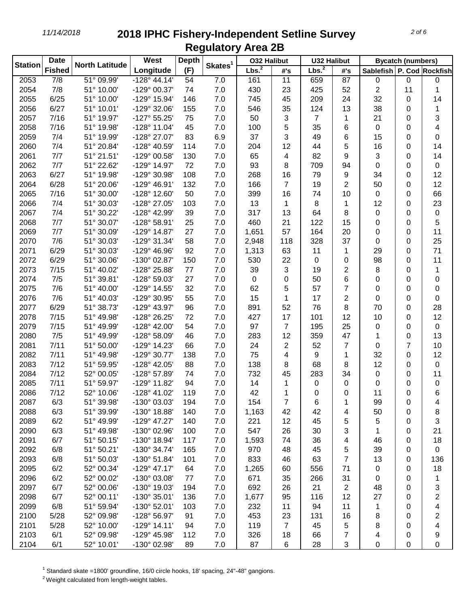| Lbs. <sup>2</sup><br>Longitude<br>(F)<br><b>Fished</b><br>Sablefish   P. Cod   Rockfish<br>#'s<br>#'s<br>$\overline{7/8}$<br>$\overline{51^{\circ}09.99}$<br>$-128^{\circ}$ 44.14'<br>2053<br>54<br>7.0<br>161<br>11<br>659<br>87<br>0<br>0<br>0<br>7/8<br>2054<br>51° 10.00'<br>-129° 00.37'<br>74<br>7.0<br>430<br>23<br>425<br>2<br>52<br>11<br>1<br>2055<br>6/25<br>51° 10.00'<br>-129° 15.94'<br>146<br>7.0<br>745<br>45<br>209<br>24<br>32<br>0<br>14<br>51° 10.01'<br>2056<br>6/27<br>-129° 32.06'<br>155<br>7.0<br>546<br>35<br>124<br>13<br>38<br>0<br>1<br>3<br>2057<br>7/16<br>51° 19.97'<br>$-127°55.25'$<br>75<br>7.0<br>50<br>3<br>7<br>21<br>1<br>0<br>5<br>35<br>2058<br>7/16<br>51° 19.98'<br>-128° 11.04'<br>45<br>7.0<br>100<br>6<br>0<br>4<br>0<br>83<br>3<br>2059<br>7/4<br>51° 19.99'<br>-128° 27.07'<br>6.9<br>37<br>49<br>6<br>15<br>0<br>0<br>5<br>16<br>2060<br>7/4<br>51° 20.84'<br>-128° 40.59'<br>114<br>7.0<br>204<br>12<br>44<br>0<br>14<br>82<br>3<br>2061<br>7/7<br>51° 21.51'<br>-129° 00.58'<br>130<br>7.0<br>65<br>4<br>9<br>0<br>14<br>72<br>93<br>2062<br>7/7<br>51° 22.62'<br>-129° 14.97'<br>7.0<br>8<br>709<br>94<br>0<br>0<br>0<br>9<br>2063<br>6/27<br>51° 19.98'<br>-129° 30.98'<br>108<br>7.0<br>268<br>79<br>12<br>16<br>34<br>0<br>$\overline{2}$<br>2064<br>6/28<br>51° 20.06'<br>-129° 46.91'<br>132<br>7.0<br>166<br>7<br>19<br>50<br>12<br>0<br>66<br>2065<br>7/16<br>51° 30.00'<br>-128° 12.60'<br>50<br>7.0<br>399<br>16<br>74<br>10<br>0<br>0<br>13<br>23<br>2066<br>7/4<br>51° 30.03'<br>-128° 27.05'<br>103<br>7.0<br>8<br>12<br>1<br>1<br>0<br>2067<br>7/4<br>51° 30.22'<br>-128° 42.99'<br>39<br>7.0<br>317<br>0<br>0<br>13<br>64<br>8<br>0<br>5<br>2068<br>7/7<br>51° 30.07'<br>-128° 58.91'<br>25<br>7.0<br>460<br>21<br>122<br>15<br>0<br>0<br>2069<br>7/7<br>51° 30.09'<br>$-129^{\circ}$ 14.87'<br>27<br>7.0<br>1,651<br>57<br>164<br>20<br>11<br>0<br>0<br>58<br>37<br>2070<br>7/6<br>51° 30.03'<br>-129° 31.34'<br>7.0<br>118<br>328<br>25<br>2,948<br>0<br>0<br>71<br>2071<br>6/29<br>51° 30.03'<br>-129° 46.96'<br>92<br>7.0<br>29<br>1,313<br>63<br>11<br>0<br>1<br>2072<br>6/29<br>51° 30.06'<br>-130° 02.87'<br>150<br>7.0<br>530<br>22<br>98<br>11<br>0<br>0<br>0<br>51° 40.02'<br>$\overline{2}$<br>2073<br>7/15<br>-128° 25.88'<br>77<br>7.0<br>39<br>3<br>19<br>8<br>1<br>0<br>2074<br>7/5<br>51° 39.81'<br>27<br>6<br>-128° 59.03'<br>7.0<br>0<br>0<br>50<br>0<br>0<br>0<br>51° 40.00'<br>32<br>5<br>57<br>$\overline{7}$<br>2075<br>7/6<br>-129° 14.55'<br>7.0<br>62<br>0<br>0<br>0<br>51° 40.03'<br>55<br>7.0<br>15<br>$\overline{2}$<br>2076<br>7/6<br>-129° 30.95'<br>1<br>17<br>0<br>0<br>0<br>8<br>2077<br>6/29<br>51° 38.73'<br>-129° 43.97'<br>96<br>7.0<br>891<br>52<br>76<br>70<br>$\Omega$<br>28<br>2078<br>51° 49.98'<br>-128° 26.25'<br>7.0<br>427<br>12<br>10<br>12<br>7/15<br>72<br>17<br>101<br>0<br>2079<br>51° 49.99'<br>97<br>25<br>7/15<br>-128° 42.00'<br>54<br>7.0<br>7<br>195<br>0<br>0<br>0<br>2080<br>7/5<br>51° 49.99'<br>-128° 58.09'<br>7.0<br>283<br>12<br>359<br>47<br>0<br>13<br>46<br>1<br>$\overline{7}$<br>2081<br>7/11<br>51° 50.00'<br>-129° 14.23'<br>66<br>7.0<br>24<br>2<br>52<br>7<br>10<br>0<br>75<br>2082<br>7/11<br>51° 49.98'<br>-129° 30.77'<br>138<br>7.0<br>1<br>32<br>12<br>4<br>9<br>0<br>2083<br>7/12<br>51° 59.95'<br>-128° 42.05'<br>88<br>7.0<br>138<br>68<br>12<br>0<br>8<br>8<br>0<br>2084<br>7/12<br>7.0<br>732<br>283<br>34<br>0<br>52° 00.05'<br>-128° 57.89'<br>74<br>45<br>0<br>11<br>2085<br>7/11<br>51° 59.97'<br>-129° 11.82'<br>7.0<br>14<br>94<br>0<br>0<br>0<br>0<br>1<br>0<br>2086<br>7/12<br>52° 10.06'<br>-128° 41.02'<br>119<br>7.0<br>42<br>1<br>11<br>6<br>0<br>0<br>0<br>2087<br>6/3<br>51° 39.98'<br>-130° 03.03'<br>154<br>7.0<br>194<br>7<br>6<br>99<br>0<br>1<br>4<br>2088<br>51° 39.99'<br>-130° 18.88'<br>7.0<br>42<br>6/3<br>140<br>1,163<br>42<br>50<br>8<br>4<br>0<br>2089<br>6/2<br>51° 49.99'<br>$-129^{\circ}$ 47.27'<br>140<br>7.0<br>221<br>45<br>5<br>3<br>12<br>5<br>0<br>2090<br>6/3<br>51° 49.98'<br>-130° 02.96'<br>100<br>7.0<br>547<br>3<br>1<br>21<br>26<br>30<br>0<br>2091<br>6/7<br>51° 50.15'<br>-130° 18.94'<br>117<br>7.0<br>36<br>1,593<br>74<br>46<br>0<br>18<br>4<br>2092<br>51° 50.21'<br>165<br>7.0<br>970<br>5<br>39<br>0<br>0<br>6/8<br>-130° 34.74'<br>48<br>45<br>$\overline{7}$<br>2093<br>6/8<br>51° 50.03'<br>$-130^{\circ}$ 51.84'<br>101<br>7.0<br>833<br>63<br>13<br>136<br>46<br>0<br>71<br>2095<br>6/2<br>52° 00.34'<br>$-129^{\circ}$ 47.17'<br>64<br>$7.0$<br>1,265<br>556<br>18<br>60<br>0<br>0<br>52° 00.02'<br>671<br>2096<br>6/2<br>-130° 03.08'<br>7.0<br>266<br>31<br>0<br>77<br>35<br>1<br>0<br>2097<br>52° 00.06'<br>-130° 19.03'<br>7.0<br>692<br>21<br>$\overline{2}$<br>3<br>6/7<br>194<br>26<br>48<br>0<br>2<br>2098<br>52° 00.11'<br>-130° 35.01'<br>7.0<br>1,677<br>95<br>116<br>12<br>27<br>6/7<br>136<br>0<br>2099<br>6/8<br>51° 59.94'<br>$-130^{\circ}$ 52.01'<br>7.0<br>232<br>94<br>11<br>1<br>4<br>103<br>11<br>0<br>2<br>2100<br>7.0<br>453<br>23<br>5/28<br>52° 09.98'<br>-128° 56.97'<br>91<br>131<br>16<br>8<br>0<br>7.0<br>119<br>$\overline{7}$<br>8<br>4<br>2101<br>5/28<br>52° 10.00'<br>$-129°14.11'$<br>94<br>45<br>5<br>0<br>2103<br>6/1<br>52° 09.98'<br>$7.0$<br>326<br>9<br>-129° 45.98'<br>112<br>18<br>66<br>7<br>4<br>0<br>2104<br>52° 10.01'<br>-130° 02.98'<br>89<br>87<br>28<br>3<br>6/1<br>7.0<br>6<br>0<br>0<br>0 | <b>Station</b> | <b>Date</b> | <b>North Latitude</b> | West | <b>Depth</b> | Skates <sup>1</sup> | <b>032 Halibut</b> |  | <b>U32 Halibut</b> |  | <b>Bycatch (numbers)</b> |  |  |
|----------------------------------------------------------------------------------------------------------------------------------------------------------------------------------------------------------------------------------------------------------------------------------------------------------------------------------------------------------------------------------------------------------------------------------------------------------------------------------------------------------------------------------------------------------------------------------------------------------------------------------------------------------------------------------------------------------------------------------------------------------------------------------------------------------------------------------------------------------------------------------------------------------------------------------------------------------------------------------------------------------------------------------------------------------------------------------------------------------------------------------------------------------------------------------------------------------------------------------------------------------------------------------------------------------------------------------------------------------------------------------------------------------------------------------------------------------------------------------------------------------------------------------------------------------------------------------------------------------------------------------------------------------------------------------------------------------------------------------------------------------------------------------------------------------------------------------------------------------------------------------------------------------------------------------------------------------------------------------------------------------------------------------------------------------------------------------------------------------------------------------------------------------------------------------------------------------------------------------------------------------------------------------------------------------------------------------------------------------------------------------------------------------------------------------------------------------------------------------------------------------------------------------------------------------------------------------------------------------------------------------------------------------------------------------------------------------------------------------------------------------------------------------------------------------------------------------------------------------------------------------------------------------------------------------------------------------------------------------------------------------------------------------------------------------------------------------------------------------------------------------------------------------------------------------------------------------------------------------------------------------------------------------------------------------------------------------------------------------------------------------------------------------------------------------------------------------------------------------------------------------------------------------------------------------------------------------------------------------------------------------------------------------------------------------------------------------------------------------------------------------------------------------------------------------------------------------------------------------------------------------------------------------------------------------------------------------------------------------------------------------------------------------------------------------------------------------------------------------------------------------------------------------------------------------------------------------------------------------------------------------------------------------------------------------------------------------------------------------------------------------------------------------------------------------------------------------------------------------------------------------------------------------------------------------------------------------------------------------------------------------------------------------------------------------------------------------------------------------------------------------------------------------------------------------------------------------------------------------------------------------------------------------------------------------------------------------------------------------------------------------------------------------------------------------------------------------------------------------------------------------------------------------------------------------------------------------------------------------------------------------------------------------------------------------------------------------------------------------------------------------------------------------------------------------------------------------------|----------------|-------------|-----------------------|------|--------------|---------------------|--------------------|--|--------------------|--|--------------------------|--|--|
|                                                                                                                                                                                                                                                                                                                                                                                                                                                                                                                                                                                                                                                                                                                                                                                                                                                                                                                                                                                                                                                                                                                                                                                                                                                                                                                                                                                                                                                                                                                                                                                                                                                                                                                                                                                                                                                                                                                                                                                                                                                                                                                                                                                                                                                                                                                                                                                                                                                                                                                                                                                                                                                                                                                                                                                                                                                                                                                                                                                                                                                                                                                                                                                                                                                                                                                                                                                                                                                                                                                                                                                                                                                                                                                                                                                                                                                                                                                                                                                                                                                                                                                                                                                                                                                                                                                                                                                                                                                                                                                                                                                                                                                                                                                                                                                                                                                                                                                                                                                                                                                                                                                                                                                                                                                                                                                                                                                                                                                                |                |             |                       |      |              |                     | Lbs. <sup>2</sup>  |  |                    |  |                          |  |  |
|                                                                                                                                                                                                                                                                                                                                                                                                                                                                                                                                                                                                                                                                                                                                                                                                                                                                                                                                                                                                                                                                                                                                                                                                                                                                                                                                                                                                                                                                                                                                                                                                                                                                                                                                                                                                                                                                                                                                                                                                                                                                                                                                                                                                                                                                                                                                                                                                                                                                                                                                                                                                                                                                                                                                                                                                                                                                                                                                                                                                                                                                                                                                                                                                                                                                                                                                                                                                                                                                                                                                                                                                                                                                                                                                                                                                                                                                                                                                                                                                                                                                                                                                                                                                                                                                                                                                                                                                                                                                                                                                                                                                                                                                                                                                                                                                                                                                                                                                                                                                                                                                                                                                                                                                                                                                                                                                                                                                                                                                |                |             |                       |      |              |                     |                    |  |                    |  |                          |  |  |
|                                                                                                                                                                                                                                                                                                                                                                                                                                                                                                                                                                                                                                                                                                                                                                                                                                                                                                                                                                                                                                                                                                                                                                                                                                                                                                                                                                                                                                                                                                                                                                                                                                                                                                                                                                                                                                                                                                                                                                                                                                                                                                                                                                                                                                                                                                                                                                                                                                                                                                                                                                                                                                                                                                                                                                                                                                                                                                                                                                                                                                                                                                                                                                                                                                                                                                                                                                                                                                                                                                                                                                                                                                                                                                                                                                                                                                                                                                                                                                                                                                                                                                                                                                                                                                                                                                                                                                                                                                                                                                                                                                                                                                                                                                                                                                                                                                                                                                                                                                                                                                                                                                                                                                                                                                                                                                                                                                                                                                                                |                |             |                       |      |              |                     |                    |  |                    |  |                          |  |  |
|                                                                                                                                                                                                                                                                                                                                                                                                                                                                                                                                                                                                                                                                                                                                                                                                                                                                                                                                                                                                                                                                                                                                                                                                                                                                                                                                                                                                                                                                                                                                                                                                                                                                                                                                                                                                                                                                                                                                                                                                                                                                                                                                                                                                                                                                                                                                                                                                                                                                                                                                                                                                                                                                                                                                                                                                                                                                                                                                                                                                                                                                                                                                                                                                                                                                                                                                                                                                                                                                                                                                                                                                                                                                                                                                                                                                                                                                                                                                                                                                                                                                                                                                                                                                                                                                                                                                                                                                                                                                                                                                                                                                                                                                                                                                                                                                                                                                                                                                                                                                                                                                                                                                                                                                                                                                                                                                                                                                                                                                |                |             |                       |      |              |                     |                    |  |                    |  |                          |  |  |
|                                                                                                                                                                                                                                                                                                                                                                                                                                                                                                                                                                                                                                                                                                                                                                                                                                                                                                                                                                                                                                                                                                                                                                                                                                                                                                                                                                                                                                                                                                                                                                                                                                                                                                                                                                                                                                                                                                                                                                                                                                                                                                                                                                                                                                                                                                                                                                                                                                                                                                                                                                                                                                                                                                                                                                                                                                                                                                                                                                                                                                                                                                                                                                                                                                                                                                                                                                                                                                                                                                                                                                                                                                                                                                                                                                                                                                                                                                                                                                                                                                                                                                                                                                                                                                                                                                                                                                                                                                                                                                                                                                                                                                                                                                                                                                                                                                                                                                                                                                                                                                                                                                                                                                                                                                                                                                                                                                                                                                                                |                |             |                       |      |              |                     |                    |  |                    |  |                          |  |  |
|                                                                                                                                                                                                                                                                                                                                                                                                                                                                                                                                                                                                                                                                                                                                                                                                                                                                                                                                                                                                                                                                                                                                                                                                                                                                                                                                                                                                                                                                                                                                                                                                                                                                                                                                                                                                                                                                                                                                                                                                                                                                                                                                                                                                                                                                                                                                                                                                                                                                                                                                                                                                                                                                                                                                                                                                                                                                                                                                                                                                                                                                                                                                                                                                                                                                                                                                                                                                                                                                                                                                                                                                                                                                                                                                                                                                                                                                                                                                                                                                                                                                                                                                                                                                                                                                                                                                                                                                                                                                                                                                                                                                                                                                                                                                                                                                                                                                                                                                                                                                                                                                                                                                                                                                                                                                                                                                                                                                                                                                |                |             |                       |      |              |                     |                    |  |                    |  |                          |  |  |
|                                                                                                                                                                                                                                                                                                                                                                                                                                                                                                                                                                                                                                                                                                                                                                                                                                                                                                                                                                                                                                                                                                                                                                                                                                                                                                                                                                                                                                                                                                                                                                                                                                                                                                                                                                                                                                                                                                                                                                                                                                                                                                                                                                                                                                                                                                                                                                                                                                                                                                                                                                                                                                                                                                                                                                                                                                                                                                                                                                                                                                                                                                                                                                                                                                                                                                                                                                                                                                                                                                                                                                                                                                                                                                                                                                                                                                                                                                                                                                                                                                                                                                                                                                                                                                                                                                                                                                                                                                                                                                                                                                                                                                                                                                                                                                                                                                                                                                                                                                                                                                                                                                                                                                                                                                                                                                                                                                                                                                                                |                |             |                       |      |              |                     |                    |  |                    |  |                          |  |  |
|                                                                                                                                                                                                                                                                                                                                                                                                                                                                                                                                                                                                                                                                                                                                                                                                                                                                                                                                                                                                                                                                                                                                                                                                                                                                                                                                                                                                                                                                                                                                                                                                                                                                                                                                                                                                                                                                                                                                                                                                                                                                                                                                                                                                                                                                                                                                                                                                                                                                                                                                                                                                                                                                                                                                                                                                                                                                                                                                                                                                                                                                                                                                                                                                                                                                                                                                                                                                                                                                                                                                                                                                                                                                                                                                                                                                                                                                                                                                                                                                                                                                                                                                                                                                                                                                                                                                                                                                                                                                                                                                                                                                                                                                                                                                                                                                                                                                                                                                                                                                                                                                                                                                                                                                                                                                                                                                                                                                                                                                |                |             |                       |      |              |                     |                    |  |                    |  |                          |  |  |
|                                                                                                                                                                                                                                                                                                                                                                                                                                                                                                                                                                                                                                                                                                                                                                                                                                                                                                                                                                                                                                                                                                                                                                                                                                                                                                                                                                                                                                                                                                                                                                                                                                                                                                                                                                                                                                                                                                                                                                                                                                                                                                                                                                                                                                                                                                                                                                                                                                                                                                                                                                                                                                                                                                                                                                                                                                                                                                                                                                                                                                                                                                                                                                                                                                                                                                                                                                                                                                                                                                                                                                                                                                                                                                                                                                                                                                                                                                                                                                                                                                                                                                                                                                                                                                                                                                                                                                                                                                                                                                                                                                                                                                                                                                                                                                                                                                                                                                                                                                                                                                                                                                                                                                                                                                                                                                                                                                                                                                                                |                |             |                       |      |              |                     |                    |  |                    |  |                          |  |  |
|                                                                                                                                                                                                                                                                                                                                                                                                                                                                                                                                                                                                                                                                                                                                                                                                                                                                                                                                                                                                                                                                                                                                                                                                                                                                                                                                                                                                                                                                                                                                                                                                                                                                                                                                                                                                                                                                                                                                                                                                                                                                                                                                                                                                                                                                                                                                                                                                                                                                                                                                                                                                                                                                                                                                                                                                                                                                                                                                                                                                                                                                                                                                                                                                                                                                                                                                                                                                                                                                                                                                                                                                                                                                                                                                                                                                                                                                                                                                                                                                                                                                                                                                                                                                                                                                                                                                                                                                                                                                                                                                                                                                                                                                                                                                                                                                                                                                                                                                                                                                                                                                                                                                                                                                                                                                                                                                                                                                                                                                |                |             |                       |      |              |                     |                    |  |                    |  |                          |  |  |
|                                                                                                                                                                                                                                                                                                                                                                                                                                                                                                                                                                                                                                                                                                                                                                                                                                                                                                                                                                                                                                                                                                                                                                                                                                                                                                                                                                                                                                                                                                                                                                                                                                                                                                                                                                                                                                                                                                                                                                                                                                                                                                                                                                                                                                                                                                                                                                                                                                                                                                                                                                                                                                                                                                                                                                                                                                                                                                                                                                                                                                                                                                                                                                                                                                                                                                                                                                                                                                                                                                                                                                                                                                                                                                                                                                                                                                                                                                                                                                                                                                                                                                                                                                                                                                                                                                                                                                                                                                                                                                                                                                                                                                                                                                                                                                                                                                                                                                                                                                                                                                                                                                                                                                                                                                                                                                                                                                                                                                                                |                |             |                       |      |              |                     |                    |  |                    |  |                          |  |  |
|                                                                                                                                                                                                                                                                                                                                                                                                                                                                                                                                                                                                                                                                                                                                                                                                                                                                                                                                                                                                                                                                                                                                                                                                                                                                                                                                                                                                                                                                                                                                                                                                                                                                                                                                                                                                                                                                                                                                                                                                                                                                                                                                                                                                                                                                                                                                                                                                                                                                                                                                                                                                                                                                                                                                                                                                                                                                                                                                                                                                                                                                                                                                                                                                                                                                                                                                                                                                                                                                                                                                                                                                                                                                                                                                                                                                                                                                                                                                                                                                                                                                                                                                                                                                                                                                                                                                                                                                                                                                                                                                                                                                                                                                                                                                                                                                                                                                                                                                                                                                                                                                                                                                                                                                                                                                                                                                                                                                                                                                |                |             |                       |      |              |                     |                    |  |                    |  |                          |  |  |
|                                                                                                                                                                                                                                                                                                                                                                                                                                                                                                                                                                                                                                                                                                                                                                                                                                                                                                                                                                                                                                                                                                                                                                                                                                                                                                                                                                                                                                                                                                                                                                                                                                                                                                                                                                                                                                                                                                                                                                                                                                                                                                                                                                                                                                                                                                                                                                                                                                                                                                                                                                                                                                                                                                                                                                                                                                                                                                                                                                                                                                                                                                                                                                                                                                                                                                                                                                                                                                                                                                                                                                                                                                                                                                                                                                                                                                                                                                                                                                                                                                                                                                                                                                                                                                                                                                                                                                                                                                                                                                                                                                                                                                                                                                                                                                                                                                                                                                                                                                                                                                                                                                                                                                                                                                                                                                                                                                                                                                                                |                |             |                       |      |              |                     |                    |  |                    |  |                          |  |  |
|                                                                                                                                                                                                                                                                                                                                                                                                                                                                                                                                                                                                                                                                                                                                                                                                                                                                                                                                                                                                                                                                                                                                                                                                                                                                                                                                                                                                                                                                                                                                                                                                                                                                                                                                                                                                                                                                                                                                                                                                                                                                                                                                                                                                                                                                                                                                                                                                                                                                                                                                                                                                                                                                                                                                                                                                                                                                                                                                                                                                                                                                                                                                                                                                                                                                                                                                                                                                                                                                                                                                                                                                                                                                                                                                                                                                                                                                                                                                                                                                                                                                                                                                                                                                                                                                                                                                                                                                                                                                                                                                                                                                                                                                                                                                                                                                                                                                                                                                                                                                                                                                                                                                                                                                                                                                                                                                                                                                                                                                |                |             |                       |      |              |                     |                    |  |                    |  |                          |  |  |
|                                                                                                                                                                                                                                                                                                                                                                                                                                                                                                                                                                                                                                                                                                                                                                                                                                                                                                                                                                                                                                                                                                                                                                                                                                                                                                                                                                                                                                                                                                                                                                                                                                                                                                                                                                                                                                                                                                                                                                                                                                                                                                                                                                                                                                                                                                                                                                                                                                                                                                                                                                                                                                                                                                                                                                                                                                                                                                                                                                                                                                                                                                                                                                                                                                                                                                                                                                                                                                                                                                                                                                                                                                                                                                                                                                                                                                                                                                                                                                                                                                                                                                                                                                                                                                                                                                                                                                                                                                                                                                                                                                                                                                                                                                                                                                                                                                                                                                                                                                                                                                                                                                                                                                                                                                                                                                                                                                                                                                                                |                |             |                       |      |              |                     |                    |  |                    |  |                          |  |  |
|                                                                                                                                                                                                                                                                                                                                                                                                                                                                                                                                                                                                                                                                                                                                                                                                                                                                                                                                                                                                                                                                                                                                                                                                                                                                                                                                                                                                                                                                                                                                                                                                                                                                                                                                                                                                                                                                                                                                                                                                                                                                                                                                                                                                                                                                                                                                                                                                                                                                                                                                                                                                                                                                                                                                                                                                                                                                                                                                                                                                                                                                                                                                                                                                                                                                                                                                                                                                                                                                                                                                                                                                                                                                                                                                                                                                                                                                                                                                                                                                                                                                                                                                                                                                                                                                                                                                                                                                                                                                                                                                                                                                                                                                                                                                                                                                                                                                                                                                                                                                                                                                                                                                                                                                                                                                                                                                                                                                                                                                |                |             |                       |      |              |                     |                    |  |                    |  |                          |  |  |
|                                                                                                                                                                                                                                                                                                                                                                                                                                                                                                                                                                                                                                                                                                                                                                                                                                                                                                                                                                                                                                                                                                                                                                                                                                                                                                                                                                                                                                                                                                                                                                                                                                                                                                                                                                                                                                                                                                                                                                                                                                                                                                                                                                                                                                                                                                                                                                                                                                                                                                                                                                                                                                                                                                                                                                                                                                                                                                                                                                                                                                                                                                                                                                                                                                                                                                                                                                                                                                                                                                                                                                                                                                                                                                                                                                                                                                                                                                                                                                                                                                                                                                                                                                                                                                                                                                                                                                                                                                                                                                                                                                                                                                                                                                                                                                                                                                                                                                                                                                                                                                                                                                                                                                                                                                                                                                                                                                                                                                                                |                |             |                       |      |              |                     |                    |  |                    |  |                          |  |  |
|                                                                                                                                                                                                                                                                                                                                                                                                                                                                                                                                                                                                                                                                                                                                                                                                                                                                                                                                                                                                                                                                                                                                                                                                                                                                                                                                                                                                                                                                                                                                                                                                                                                                                                                                                                                                                                                                                                                                                                                                                                                                                                                                                                                                                                                                                                                                                                                                                                                                                                                                                                                                                                                                                                                                                                                                                                                                                                                                                                                                                                                                                                                                                                                                                                                                                                                                                                                                                                                                                                                                                                                                                                                                                                                                                                                                                                                                                                                                                                                                                                                                                                                                                                                                                                                                                                                                                                                                                                                                                                                                                                                                                                                                                                                                                                                                                                                                                                                                                                                                                                                                                                                                                                                                                                                                                                                                                                                                                                                                |                |             |                       |      |              |                     |                    |  |                    |  |                          |  |  |
|                                                                                                                                                                                                                                                                                                                                                                                                                                                                                                                                                                                                                                                                                                                                                                                                                                                                                                                                                                                                                                                                                                                                                                                                                                                                                                                                                                                                                                                                                                                                                                                                                                                                                                                                                                                                                                                                                                                                                                                                                                                                                                                                                                                                                                                                                                                                                                                                                                                                                                                                                                                                                                                                                                                                                                                                                                                                                                                                                                                                                                                                                                                                                                                                                                                                                                                                                                                                                                                                                                                                                                                                                                                                                                                                                                                                                                                                                                                                                                                                                                                                                                                                                                                                                                                                                                                                                                                                                                                                                                                                                                                                                                                                                                                                                                                                                                                                                                                                                                                                                                                                                                                                                                                                                                                                                                                                                                                                                                                                |                |             |                       |      |              |                     |                    |  |                    |  |                          |  |  |
|                                                                                                                                                                                                                                                                                                                                                                                                                                                                                                                                                                                                                                                                                                                                                                                                                                                                                                                                                                                                                                                                                                                                                                                                                                                                                                                                                                                                                                                                                                                                                                                                                                                                                                                                                                                                                                                                                                                                                                                                                                                                                                                                                                                                                                                                                                                                                                                                                                                                                                                                                                                                                                                                                                                                                                                                                                                                                                                                                                                                                                                                                                                                                                                                                                                                                                                                                                                                                                                                                                                                                                                                                                                                                                                                                                                                                                                                                                                                                                                                                                                                                                                                                                                                                                                                                                                                                                                                                                                                                                                                                                                                                                                                                                                                                                                                                                                                                                                                                                                                                                                                                                                                                                                                                                                                                                                                                                                                                                                                |                |             |                       |      |              |                     |                    |  |                    |  |                          |  |  |
|                                                                                                                                                                                                                                                                                                                                                                                                                                                                                                                                                                                                                                                                                                                                                                                                                                                                                                                                                                                                                                                                                                                                                                                                                                                                                                                                                                                                                                                                                                                                                                                                                                                                                                                                                                                                                                                                                                                                                                                                                                                                                                                                                                                                                                                                                                                                                                                                                                                                                                                                                                                                                                                                                                                                                                                                                                                                                                                                                                                                                                                                                                                                                                                                                                                                                                                                                                                                                                                                                                                                                                                                                                                                                                                                                                                                                                                                                                                                                                                                                                                                                                                                                                                                                                                                                                                                                                                                                                                                                                                                                                                                                                                                                                                                                                                                                                                                                                                                                                                                                                                                                                                                                                                                                                                                                                                                                                                                                                                                |                |             |                       |      |              |                     |                    |  |                    |  |                          |  |  |
|                                                                                                                                                                                                                                                                                                                                                                                                                                                                                                                                                                                                                                                                                                                                                                                                                                                                                                                                                                                                                                                                                                                                                                                                                                                                                                                                                                                                                                                                                                                                                                                                                                                                                                                                                                                                                                                                                                                                                                                                                                                                                                                                                                                                                                                                                                                                                                                                                                                                                                                                                                                                                                                                                                                                                                                                                                                                                                                                                                                                                                                                                                                                                                                                                                                                                                                                                                                                                                                                                                                                                                                                                                                                                                                                                                                                                                                                                                                                                                                                                                                                                                                                                                                                                                                                                                                                                                                                                                                                                                                                                                                                                                                                                                                                                                                                                                                                                                                                                                                                                                                                                                                                                                                                                                                                                                                                                                                                                                                                |                |             |                       |      |              |                     |                    |  |                    |  |                          |  |  |
|                                                                                                                                                                                                                                                                                                                                                                                                                                                                                                                                                                                                                                                                                                                                                                                                                                                                                                                                                                                                                                                                                                                                                                                                                                                                                                                                                                                                                                                                                                                                                                                                                                                                                                                                                                                                                                                                                                                                                                                                                                                                                                                                                                                                                                                                                                                                                                                                                                                                                                                                                                                                                                                                                                                                                                                                                                                                                                                                                                                                                                                                                                                                                                                                                                                                                                                                                                                                                                                                                                                                                                                                                                                                                                                                                                                                                                                                                                                                                                                                                                                                                                                                                                                                                                                                                                                                                                                                                                                                                                                                                                                                                                                                                                                                                                                                                                                                                                                                                                                                                                                                                                                                                                                                                                                                                                                                                                                                                                                                |                |             |                       |      |              |                     |                    |  |                    |  |                          |  |  |
|                                                                                                                                                                                                                                                                                                                                                                                                                                                                                                                                                                                                                                                                                                                                                                                                                                                                                                                                                                                                                                                                                                                                                                                                                                                                                                                                                                                                                                                                                                                                                                                                                                                                                                                                                                                                                                                                                                                                                                                                                                                                                                                                                                                                                                                                                                                                                                                                                                                                                                                                                                                                                                                                                                                                                                                                                                                                                                                                                                                                                                                                                                                                                                                                                                                                                                                                                                                                                                                                                                                                                                                                                                                                                                                                                                                                                                                                                                                                                                                                                                                                                                                                                                                                                                                                                                                                                                                                                                                                                                                                                                                                                                                                                                                                                                                                                                                                                                                                                                                                                                                                                                                                                                                                                                                                                                                                                                                                                                                                |                |             |                       |      |              |                     |                    |  |                    |  |                          |  |  |
|                                                                                                                                                                                                                                                                                                                                                                                                                                                                                                                                                                                                                                                                                                                                                                                                                                                                                                                                                                                                                                                                                                                                                                                                                                                                                                                                                                                                                                                                                                                                                                                                                                                                                                                                                                                                                                                                                                                                                                                                                                                                                                                                                                                                                                                                                                                                                                                                                                                                                                                                                                                                                                                                                                                                                                                                                                                                                                                                                                                                                                                                                                                                                                                                                                                                                                                                                                                                                                                                                                                                                                                                                                                                                                                                                                                                                                                                                                                                                                                                                                                                                                                                                                                                                                                                                                                                                                                                                                                                                                                                                                                                                                                                                                                                                                                                                                                                                                                                                                                                                                                                                                                                                                                                                                                                                                                                                                                                                                                                |                |             |                       |      |              |                     |                    |  |                    |  |                          |  |  |
|                                                                                                                                                                                                                                                                                                                                                                                                                                                                                                                                                                                                                                                                                                                                                                                                                                                                                                                                                                                                                                                                                                                                                                                                                                                                                                                                                                                                                                                                                                                                                                                                                                                                                                                                                                                                                                                                                                                                                                                                                                                                                                                                                                                                                                                                                                                                                                                                                                                                                                                                                                                                                                                                                                                                                                                                                                                                                                                                                                                                                                                                                                                                                                                                                                                                                                                                                                                                                                                                                                                                                                                                                                                                                                                                                                                                                                                                                                                                                                                                                                                                                                                                                                                                                                                                                                                                                                                                                                                                                                                                                                                                                                                                                                                                                                                                                                                                                                                                                                                                                                                                                                                                                                                                                                                                                                                                                                                                                                                                |                |             |                       |      |              |                     |                    |  |                    |  |                          |  |  |
|                                                                                                                                                                                                                                                                                                                                                                                                                                                                                                                                                                                                                                                                                                                                                                                                                                                                                                                                                                                                                                                                                                                                                                                                                                                                                                                                                                                                                                                                                                                                                                                                                                                                                                                                                                                                                                                                                                                                                                                                                                                                                                                                                                                                                                                                                                                                                                                                                                                                                                                                                                                                                                                                                                                                                                                                                                                                                                                                                                                                                                                                                                                                                                                                                                                                                                                                                                                                                                                                                                                                                                                                                                                                                                                                                                                                                                                                                                                                                                                                                                                                                                                                                                                                                                                                                                                                                                                                                                                                                                                                                                                                                                                                                                                                                                                                                                                                                                                                                                                                                                                                                                                                                                                                                                                                                                                                                                                                                                                                |                |             |                       |      |              |                     |                    |  |                    |  |                          |  |  |
|                                                                                                                                                                                                                                                                                                                                                                                                                                                                                                                                                                                                                                                                                                                                                                                                                                                                                                                                                                                                                                                                                                                                                                                                                                                                                                                                                                                                                                                                                                                                                                                                                                                                                                                                                                                                                                                                                                                                                                                                                                                                                                                                                                                                                                                                                                                                                                                                                                                                                                                                                                                                                                                                                                                                                                                                                                                                                                                                                                                                                                                                                                                                                                                                                                                                                                                                                                                                                                                                                                                                                                                                                                                                                                                                                                                                                                                                                                                                                                                                                                                                                                                                                                                                                                                                                                                                                                                                                                                                                                                                                                                                                                                                                                                                                                                                                                                                                                                                                                                                                                                                                                                                                                                                                                                                                                                                                                                                                                                                |                |             |                       |      |              |                     |                    |  |                    |  |                          |  |  |
|                                                                                                                                                                                                                                                                                                                                                                                                                                                                                                                                                                                                                                                                                                                                                                                                                                                                                                                                                                                                                                                                                                                                                                                                                                                                                                                                                                                                                                                                                                                                                                                                                                                                                                                                                                                                                                                                                                                                                                                                                                                                                                                                                                                                                                                                                                                                                                                                                                                                                                                                                                                                                                                                                                                                                                                                                                                                                                                                                                                                                                                                                                                                                                                                                                                                                                                                                                                                                                                                                                                                                                                                                                                                                                                                                                                                                                                                                                                                                                                                                                                                                                                                                                                                                                                                                                                                                                                                                                                                                                                                                                                                                                                                                                                                                                                                                                                                                                                                                                                                                                                                                                                                                                                                                                                                                                                                                                                                                                                                |                |             |                       |      |              |                     |                    |  |                    |  |                          |  |  |
|                                                                                                                                                                                                                                                                                                                                                                                                                                                                                                                                                                                                                                                                                                                                                                                                                                                                                                                                                                                                                                                                                                                                                                                                                                                                                                                                                                                                                                                                                                                                                                                                                                                                                                                                                                                                                                                                                                                                                                                                                                                                                                                                                                                                                                                                                                                                                                                                                                                                                                                                                                                                                                                                                                                                                                                                                                                                                                                                                                                                                                                                                                                                                                                                                                                                                                                                                                                                                                                                                                                                                                                                                                                                                                                                                                                                                                                                                                                                                                                                                                                                                                                                                                                                                                                                                                                                                                                                                                                                                                                                                                                                                                                                                                                                                                                                                                                                                                                                                                                                                                                                                                                                                                                                                                                                                                                                                                                                                                                                |                |             |                       |      |              |                     |                    |  |                    |  |                          |  |  |
|                                                                                                                                                                                                                                                                                                                                                                                                                                                                                                                                                                                                                                                                                                                                                                                                                                                                                                                                                                                                                                                                                                                                                                                                                                                                                                                                                                                                                                                                                                                                                                                                                                                                                                                                                                                                                                                                                                                                                                                                                                                                                                                                                                                                                                                                                                                                                                                                                                                                                                                                                                                                                                                                                                                                                                                                                                                                                                                                                                                                                                                                                                                                                                                                                                                                                                                                                                                                                                                                                                                                                                                                                                                                                                                                                                                                                                                                                                                                                                                                                                                                                                                                                                                                                                                                                                                                                                                                                                                                                                                                                                                                                                                                                                                                                                                                                                                                                                                                                                                                                                                                                                                                                                                                                                                                                                                                                                                                                                                                |                |             |                       |      |              |                     |                    |  |                    |  |                          |  |  |
|                                                                                                                                                                                                                                                                                                                                                                                                                                                                                                                                                                                                                                                                                                                                                                                                                                                                                                                                                                                                                                                                                                                                                                                                                                                                                                                                                                                                                                                                                                                                                                                                                                                                                                                                                                                                                                                                                                                                                                                                                                                                                                                                                                                                                                                                                                                                                                                                                                                                                                                                                                                                                                                                                                                                                                                                                                                                                                                                                                                                                                                                                                                                                                                                                                                                                                                                                                                                                                                                                                                                                                                                                                                                                                                                                                                                                                                                                                                                                                                                                                                                                                                                                                                                                                                                                                                                                                                                                                                                                                                                                                                                                                                                                                                                                                                                                                                                                                                                                                                                                                                                                                                                                                                                                                                                                                                                                                                                                                                                |                |             |                       |      |              |                     |                    |  |                    |  |                          |  |  |
|                                                                                                                                                                                                                                                                                                                                                                                                                                                                                                                                                                                                                                                                                                                                                                                                                                                                                                                                                                                                                                                                                                                                                                                                                                                                                                                                                                                                                                                                                                                                                                                                                                                                                                                                                                                                                                                                                                                                                                                                                                                                                                                                                                                                                                                                                                                                                                                                                                                                                                                                                                                                                                                                                                                                                                                                                                                                                                                                                                                                                                                                                                                                                                                                                                                                                                                                                                                                                                                                                                                                                                                                                                                                                                                                                                                                                                                                                                                                                                                                                                                                                                                                                                                                                                                                                                                                                                                                                                                                                                                                                                                                                                                                                                                                                                                                                                                                                                                                                                                                                                                                                                                                                                                                                                                                                                                                                                                                                                                                |                |             |                       |      |              |                     |                    |  |                    |  |                          |  |  |
|                                                                                                                                                                                                                                                                                                                                                                                                                                                                                                                                                                                                                                                                                                                                                                                                                                                                                                                                                                                                                                                                                                                                                                                                                                                                                                                                                                                                                                                                                                                                                                                                                                                                                                                                                                                                                                                                                                                                                                                                                                                                                                                                                                                                                                                                                                                                                                                                                                                                                                                                                                                                                                                                                                                                                                                                                                                                                                                                                                                                                                                                                                                                                                                                                                                                                                                                                                                                                                                                                                                                                                                                                                                                                                                                                                                                                                                                                                                                                                                                                                                                                                                                                                                                                                                                                                                                                                                                                                                                                                                                                                                                                                                                                                                                                                                                                                                                                                                                                                                                                                                                                                                                                                                                                                                                                                                                                                                                                                                                |                |             |                       |      |              |                     |                    |  |                    |  |                          |  |  |
|                                                                                                                                                                                                                                                                                                                                                                                                                                                                                                                                                                                                                                                                                                                                                                                                                                                                                                                                                                                                                                                                                                                                                                                                                                                                                                                                                                                                                                                                                                                                                                                                                                                                                                                                                                                                                                                                                                                                                                                                                                                                                                                                                                                                                                                                                                                                                                                                                                                                                                                                                                                                                                                                                                                                                                                                                                                                                                                                                                                                                                                                                                                                                                                                                                                                                                                                                                                                                                                                                                                                                                                                                                                                                                                                                                                                                                                                                                                                                                                                                                                                                                                                                                                                                                                                                                                                                                                                                                                                                                                                                                                                                                                                                                                                                                                                                                                                                                                                                                                                                                                                                                                                                                                                                                                                                                                                                                                                                                                                |                |             |                       |      |              |                     |                    |  |                    |  |                          |  |  |
|                                                                                                                                                                                                                                                                                                                                                                                                                                                                                                                                                                                                                                                                                                                                                                                                                                                                                                                                                                                                                                                                                                                                                                                                                                                                                                                                                                                                                                                                                                                                                                                                                                                                                                                                                                                                                                                                                                                                                                                                                                                                                                                                                                                                                                                                                                                                                                                                                                                                                                                                                                                                                                                                                                                                                                                                                                                                                                                                                                                                                                                                                                                                                                                                                                                                                                                                                                                                                                                                                                                                                                                                                                                                                                                                                                                                                                                                                                                                                                                                                                                                                                                                                                                                                                                                                                                                                                                                                                                                                                                                                                                                                                                                                                                                                                                                                                                                                                                                                                                                                                                                                                                                                                                                                                                                                                                                                                                                                                                                |                |             |                       |      |              |                     |                    |  |                    |  |                          |  |  |
|                                                                                                                                                                                                                                                                                                                                                                                                                                                                                                                                                                                                                                                                                                                                                                                                                                                                                                                                                                                                                                                                                                                                                                                                                                                                                                                                                                                                                                                                                                                                                                                                                                                                                                                                                                                                                                                                                                                                                                                                                                                                                                                                                                                                                                                                                                                                                                                                                                                                                                                                                                                                                                                                                                                                                                                                                                                                                                                                                                                                                                                                                                                                                                                                                                                                                                                                                                                                                                                                                                                                                                                                                                                                                                                                                                                                                                                                                                                                                                                                                                                                                                                                                                                                                                                                                                                                                                                                                                                                                                                                                                                                                                                                                                                                                                                                                                                                                                                                                                                                                                                                                                                                                                                                                                                                                                                                                                                                                                                                |                |             |                       |      |              |                     |                    |  |                    |  |                          |  |  |
|                                                                                                                                                                                                                                                                                                                                                                                                                                                                                                                                                                                                                                                                                                                                                                                                                                                                                                                                                                                                                                                                                                                                                                                                                                                                                                                                                                                                                                                                                                                                                                                                                                                                                                                                                                                                                                                                                                                                                                                                                                                                                                                                                                                                                                                                                                                                                                                                                                                                                                                                                                                                                                                                                                                                                                                                                                                                                                                                                                                                                                                                                                                                                                                                                                                                                                                                                                                                                                                                                                                                                                                                                                                                                                                                                                                                                                                                                                                                                                                                                                                                                                                                                                                                                                                                                                                                                                                                                                                                                                                                                                                                                                                                                                                                                                                                                                                                                                                                                                                                                                                                                                                                                                                                                                                                                                                                                                                                                                                                |                |             |                       |      |              |                     |                    |  |                    |  |                          |  |  |
|                                                                                                                                                                                                                                                                                                                                                                                                                                                                                                                                                                                                                                                                                                                                                                                                                                                                                                                                                                                                                                                                                                                                                                                                                                                                                                                                                                                                                                                                                                                                                                                                                                                                                                                                                                                                                                                                                                                                                                                                                                                                                                                                                                                                                                                                                                                                                                                                                                                                                                                                                                                                                                                                                                                                                                                                                                                                                                                                                                                                                                                                                                                                                                                                                                                                                                                                                                                                                                                                                                                                                                                                                                                                                                                                                                                                                                                                                                                                                                                                                                                                                                                                                                                                                                                                                                                                                                                                                                                                                                                                                                                                                                                                                                                                                                                                                                                                                                                                                                                                                                                                                                                                                                                                                                                                                                                                                                                                                                                                |                |             |                       |      |              |                     |                    |  |                    |  |                          |  |  |
|                                                                                                                                                                                                                                                                                                                                                                                                                                                                                                                                                                                                                                                                                                                                                                                                                                                                                                                                                                                                                                                                                                                                                                                                                                                                                                                                                                                                                                                                                                                                                                                                                                                                                                                                                                                                                                                                                                                                                                                                                                                                                                                                                                                                                                                                                                                                                                                                                                                                                                                                                                                                                                                                                                                                                                                                                                                                                                                                                                                                                                                                                                                                                                                                                                                                                                                                                                                                                                                                                                                                                                                                                                                                                                                                                                                                                                                                                                                                                                                                                                                                                                                                                                                                                                                                                                                                                                                                                                                                                                                                                                                                                                                                                                                                                                                                                                                                                                                                                                                                                                                                                                                                                                                                                                                                                                                                                                                                                                                                |                |             |                       |      |              |                     |                    |  |                    |  |                          |  |  |
|                                                                                                                                                                                                                                                                                                                                                                                                                                                                                                                                                                                                                                                                                                                                                                                                                                                                                                                                                                                                                                                                                                                                                                                                                                                                                                                                                                                                                                                                                                                                                                                                                                                                                                                                                                                                                                                                                                                                                                                                                                                                                                                                                                                                                                                                                                                                                                                                                                                                                                                                                                                                                                                                                                                                                                                                                                                                                                                                                                                                                                                                                                                                                                                                                                                                                                                                                                                                                                                                                                                                                                                                                                                                                                                                                                                                                                                                                                                                                                                                                                                                                                                                                                                                                                                                                                                                                                                                                                                                                                                                                                                                                                                                                                                                                                                                                                                                                                                                                                                                                                                                                                                                                                                                                                                                                                                                                                                                                                                                |                |             |                       |      |              |                     |                    |  |                    |  |                          |  |  |
|                                                                                                                                                                                                                                                                                                                                                                                                                                                                                                                                                                                                                                                                                                                                                                                                                                                                                                                                                                                                                                                                                                                                                                                                                                                                                                                                                                                                                                                                                                                                                                                                                                                                                                                                                                                                                                                                                                                                                                                                                                                                                                                                                                                                                                                                                                                                                                                                                                                                                                                                                                                                                                                                                                                                                                                                                                                                                                                                                                                                                                                                                                                                                                                                                                                                                                                                                                                                                                                                                                                                                                                                                                                                                                                                                                                                                                                                                                                                                                                                                                                                                                                                                                                                                                                                                                                                                                                                                                                                                                                                                                                                                                                                                                                                                                                                                                                                                                                                                                                                                                                                                                                                                                                                                                                                                                                                                                                                                                                                |                |             |                       |      |              |                     |                    |  |                    |  |                          |  |  |
|                                                                                                                                                                                                                                                                                                                                                                                                                                                                                                                                                                                                                                                                                                                                                                                                                                                                                                                                                                                                                                                                                                                                                                                                                                                                                                                                                                                                                                                                                                                                                                                                                                                                                                                                                                                                                                                                                                                                                                                                                                                                                                                                                                                                                                                                                                                                                                                                                                                                                                                                                                                                                                                                                                                                                                                                                                                                                                                                                                                                                                                                                                                                                                                                                                                                                                                                                                                                                                                                                                                                                                                                                                                                                                                                                                                                                                                                                                                                                                                                                                                                                                                                                                                                                                                                                                                                                                                                                                                                                                                                                                                                                                                                                                                                                                                                                                                                                                                                                                                                                                                                                                                                                                                                                                                                                                                                                                                                                                                                |                |             |                       |      |              |                     |                    |  |                    |  |                          |  |  |
|                                                                                                                                                                                                                                                                                                                                                                                                                                                                                                                                                                                                                                                                                                                                                                                                                                                                                                                                                                                                                                                                                                                                                                                                                                                                                                                                                                                                                                                                                                                                                                                                                                                                                                                                                                                                                                                                                                                                                                                                                                                                                                                                                                                                                                                                                                                                                                                                                                                                                                                                                                                                                                                                                                                                                                                                                                                                                                                                                                                                                                                                                                                                                                                                                                                                                                                                                                                                                                                                                                                                                                                                                                                                                                                                                                                                                                                                                                                                                                                                                                                                                                                                                                                                                                                                                                                                                                                                                                                                                                                                                                                                                                                                                                                                                                                                                                                                                                                                                                                                                                                                                                                                                                                                                                                                                                                                                                                                                                                                |                |             |                       |      |              |                     |                    |  |                    |  |                          |  |  |
|                                                                                                                                                                                                                                                                                                                                                                                                                                                                                                                                                                                                                                                                                                                                                                                                                                                                                                                                                                                                                                                                                                                                                                                                                                                                                                                                                                                                                                                                                                                                                                                                                                                                                                                                                                                                                                                                                                                                                                                                                                                                                                                                                                                                                                                                                                                                                                                                                                                                                                                                                                                                                                                                                                                                                                                                                                                                                                                                                                                                                                                                                                                                                                                                                                                                                                                                                                                                                                                                                                                                                                                                                                                                                                                                                                                                                                                                                                                                                                                                                                                                                                                                                                                                                                                                                                                                                                                                                                                                                                                                                                                                                                                                                                                                                                                                                                                                                                                                                                                                                                                                                                                                                                                                                                                                                                                                                                                                                                                                |                |             |                       |      |              |                     |                    |  |                    |  |                          |  |  |
|                                                                                                                                                                                                                                                                                                                                                                                                                                                                                                                                                                                                                                                                                                                                                                                                                                                                                                                                                                                                                                                                                                                                                                                                                                                                                                                                                                                                                                                                                                                                                                                                                                                                                                                                                                                                                                                                                                                                                                                                                                                                                                                                                                                                                                                                                                                                                                                                                                                                                                                                                                                                                                                                                                                                                                                                                                                                                                                                                                                                                                                                                                                                                                                                                                                                                                                                                                                                                                                                                                                                                                                                                                                                                                                                                                                                                                                                                                                                                                                                                                                                                                                                                                                                                                                                                                                                                                                                                                                                                                                                                                                                                                                                                                                                                                                                                                                                                                                                                                                                                                                                                                                                                                                                                                                                                                                                                                                                                                                                |                |             |                       |      |              |                     |                    |  |                    |  |                          |  |  |
|                                                                                                                                                                                                                                                                                                                                                                                                                                                                                                                                                                                                                                                                                                                                                                                                                                                                                                                                                                                                                                                                                                                                                                                                                                                                                                                                                                                                                                                                                                                                                                                                                                                                                                                                                                                                                                                                                                                                                                                                                                                                                                                                                                                                                                                                                                                                                                                                                                                                                                                                                                                                                                                                                                                                                                                                                                                                                                                                                                                                                                                                                                                                                                                                                                                                                                                                                                                                                                                                                                                                                                                                                                                                                                                                                                                                                                                                                                                                                                                                                                                                                                                                                                                                                                                                                                                                                                                                                                                                                                                                                                                                                                                                                                                                                                                                                                                                                                                                                                                                                                                                                                                                                                                                                                                                                                                                                                                                                                                                |                |             |                       |      |              |                     |                    |  |                    |  |                          |  |  |
|                                                                                                                                                                                                                                                                                                                                                                                                                                                                                                                                                                                                                                                                                                                                                                                                                                                                                                                                                                                                                                                                                                                                                                                                                                                                                                                                                                                                                                                                                                                                                                                                                                                                                                                                                                                                                                                                                                                                                                                                                                                                                                                                                                                                                                                                                                                                                                                                                                                                                                                                                                                                                                                                                                                                                                                                                                                                                                                                                                                                                                                                                                                                                                                                                                                                                                                                                                                                                                                                                                                                                                                                                                                                                                                                                                                                                                                                                                                                                                                                                                                                                                                                                                                                                                                                                                                                                                                                                                                                                                                                                                                                                                                                                                                                                                                                                                                                                                                                                                                                                                                                                                                                                                                                                                                                                                                                                                                                                                                                |                |             |                       |      |              |                     |                    |  |                    |  |                          |  |  |
|                                                                                                                                                                                                                                                                                                                                                                                                                                                                                                                                                                                                                                                                                                                                                                                                                                                                                                                                                                                                                                                                                                                                                                                                                                                                                                                                                                                                                                                                                                                                                                                                                                                                                                                                                                                                                                                                                                                                                                                                                                                                                                                                                                                                                                                                                                                                                                                                                                                                                                                                                                                                                                                                                                                                                                                                                                                                                                                                                                                                                                                                                                                                                                                                                                                                                                                                                                                                                                                                                                                                                                                                                                                                                                                                                                                                                                                                                                                                                                                                                                                                                                                                                                                                                                                                                                                                                                                                                                                                                                                                                                                                                                                                                                                                                                                                                                                                                                                                                                                                                                                                                                                                                                                                                                                                                                                                                                                                                                                                |                |             |                       |      |              |                     |                    |  |                    |  |                          |  |  |
|                                                                                                                                                                                                                                                                                                                                                                                                                                                                                                                                                                                                                                                                                                                                                                                                                                                                                                                                                                                                                                                                                                                                                                                                                                                                                                                                                                                                                                                                                                                                                                                                                                                                                                                                                                                                                                                                                                                                                                                                                                                                                                                                                                                                                                                                                                                                                                                                                                                                                                                                                                                                                                                                                                                                                                                                                                                                                                                                                                                                                                                                                                                                                                                                                                                                                                                                                                                                                                                                                                                                                                                                                                                                                                                                                                                                                                                                                                                                                                                                                                                                                                                                                                                                                                                                                                                                                                                                                                                                                                                                                                                                                                                                                                                                                                                                                                                                                                                                                                                                                                                                                                                                                                                                                                                                                                                                                                                                                                                                |                |             |                       |      |              |                     |                    |  |                    |  |                          |  |  |
|                                                                                                                                                                                                                                                                                                                                                                                                                                                                                                                                                                                                                                                                                                                                                                                                                                                                                                                                                                                                                                                                                                                                                                                                                                                                                                                                                                                                                                                                                                                                                                                                                                                                                                                                                                                                                                                                                                                                                                                                                                                                                                                                                                                                                                                                                                                                                                                                                                                                                                                                                                                                                                                                                                                                                                                                                                                                                                                                                                                                                                                                                                                                                                                                                                                                                                                                                                                                                                                                                                                                                                                                                                                                                                                                                                                                                                                                                                                                                                                                                                                                                                                                                                                                                                                                                                                                                                                                                                                                                                                                                                                                                                                                                                                                                                                                                                                                                                                                                                                                                                                                                                                                                                                                                                                                                                                                                                                                                                                                |                |             |                       |      |              |                     |                    |  |                    |  |                          |  |  |
|                                                                                                                                                                                                                                                                                                                                                                                                                                                                                                                                                                                                                                                                                                                                                                                                                                                                                                                                                                                                                                                                                                                                                                                                                                                                                                                                                                                                                                                                                                                                                                                                                                                                                                                                                                                                                                                                                                                                                                                                                                                                                                                                                                                                                                                                                                                                                                                                                                                                                                                                                                                                                                                                                                                                                                                                                                                                                                                                                                                                                                                                                                                                                                                                                                                                                                                                                                                                                                                                                                                                                                                                                                                                                                                                                                                                                                                                                                                                                                                                                                                                                                                                                                                                                                                                                                                                                                                                                                                                                                                                                                                                                                                                                                                                                                                                                                                                                                                                                                                                                                                                                                                                                                                                                                                                                                                                                                                                                                                                |                |             |                       |      |              |                     |                    |  |                    |  |                          |  |  |

Standard skate =1800' groundline, 16/0 circle hooks, 18' spacing, 24"-48" gangions.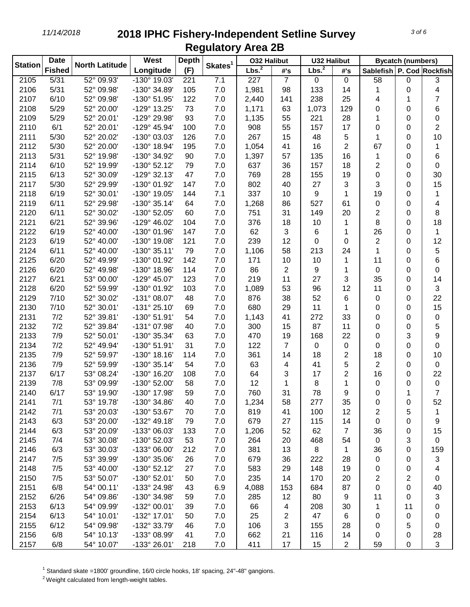| <b>Station</b> | <b>Date</b>   | <b>North Latitude</b> | West                  | <b>Depth</b> | Skates <sup>1</sup> | <b>032 Halibut</b> |                | <b>U32 Halibut</b> |                |                           | <b>Bycatch (numbers)</b> |     |
|----------------|---------------|-----------------------|-----------------------|--------------|---------------------|--------------------|----------------|--------------------|----------------|---------------------------|--------------------------|-----|
|                | <b>Fished</b> |                       | Longitude             | (F)          |                     | Lbs. <sup>2</sup>  | #'s            | Lbs. <sup>2</sup>  | #'s            | Sablefish P. Cod Rockfish |                          |     |
| 2105           | 5/31          | 52° 09.93'            | $-130^{\circ}$ 19.03' | 221          | 7.1                 | 227                | $\overline{7}$ | 0                  | $\mathbf 0$    | 58                        | 0                        | 3   |
| 2106           | 5/31          | 52° 09.98'            | -130° 34.89'          | 105          | 7.0                 | 1,981              | 98             | 133                | 14             | 1                         | 0                        | 4   |
| 2107           | 6/10          | 52° 09.98'            | -130° 51.95'          | 122          | 7.0                 | 2,440              | 141            | 238                | 25             | 4                         | 1                        | 7   |
| 2108           | 5/29          | 52° 20.00'            | -129° 13.25'          | 73           | 7.0                 | 1,171              | 63             | 1,073              | 129            | 0                         | 0                        | 6   |
| 2109           | 5/29          | 52° 20.01'            | -129° 29.98'          | 93           | 7.0                 | 1,135              | 55             | 221                | 28             | 1                         | $\Omega$                 | 0   |
| 2110           | 6/1           | 52° 20.01'            | -129° 45.94'          | 100          | 7.0                 | 908                | 55             | 157                | 17             | 0                         | 0                        | 2   |
| 2111           | 5/30          | 52° 20.02'            | -130° 03.03'          | 126          | 7.0                 | 267                | 15             | 48                 | 5              | 1                         | 0                        | 10  |
| 2112           | 5/30          | 52° 20.00'            | -130° 18.94'          | 195          | 7.0                 | 1,054              | 41             | 16                 | $\overline{2}$ | 67                        | 0                        | 1   |
| 2113           | 5/31          | 52° 19.98'            | -130° 34.92'          | 90           | 7.0                 | 1,397              | 57             | 135                | 16             | 1                         | 0                        | 6   |
| 2114           | 6/10          | 52° 19.99'            | $-130^{\circ}$ 52.12' | 79           | 7.0                 | 637                | 36             | 157                | 18             | 2                         | 0                        | 0   |
| 2115           | 6/13          | 52° 30.09'            | -129° 32.13'          | 47           | 7.0                 | 769                | 28             | 155                | 19             | 0                         | 0                        | 30  |
| 2117           | 5/30          | 52° 29.99'            | -130° 01.92'          | 147          | 7.0                 | 802                | 40             | 27                 | 3              | 3                         | 0                        | 15  |
| 2118           | 6/19          | 52° 30.01'            | -130° 19.05'          | 144          | 7.1                 | 337                | 10             | 9                  | 1              | 19                        | 0                        | 1   |
| 2119           | 6/11          | 52° 29.98'            | $-130^{\circ}$ 35.14' | 64           | 7.0                 | 1,268              | 86             | 527                | 61             | 0                         | $\Omega$                 | 4   |
| 2120           | 6/11          | 52° 30.02'            | -130° 52.05'          | 60           | 7.0                 | 751                | 31             | 149                | 20             | 2                         | 0                        | 8   |
| 2121           | 6/21          | 52° 39.96'            | -129° 46.02'          | 104          | 7.0                 | 376                | 18             | 10                 | 1              | 8                         | 0                        | 18  |
| 2122           | 6/19          | 52° 40.00'            | -130° 01.96'          | 147          | 7.0                 | 62                 | 3              | 6                  | 1              | 26                        | 0                        | 1   |
| 2123           | 6/19          | 52° 40.00'            | -130° 19.08'          | 121          | 7.0                 | 239                | 12             | 0                  | 0              | $\overline{\mathbf{c}}$   | $\Omega$                 | 12  |
| 2124           | 6/11          | 52° 40.00'            | $-130^{\circ}35.11'$  | 79           | 7.0                 | 1,106              | 58             | 213                | 24             | 1                         | 0                        | 5   |
| 2125           | 6/20          | 52° 49.99'            | -130° 01.92'          | 142          | 7.0                 | 171                | 10             | 10                 | 1              | 11                        | 0                        | 6   |
| 2126           | 6/20          | 52° 49.98'            | -130° 18.96'          | 114          | 7.0                 | 86                 | $\overline{c}$ | 9                  | 1              | 0                         | $\Omega$                 | 0   |
| 2127           | 6/21          | 53° 00.00'            | -129° 45.07'          | 123          | 7.0                 | 219                | 11             | 27                 | 3              | 35                        | $\Omega$                 | 14  |
| 2128           | 6/20          | 52° 59.99'            | -130° 01.92'          | 103          | 7.0                 | 1,089              | 53             | 96                 | 12             | 11                        | 0                        | 3   |
| 2129           | 7/10          | 52° 30.02'            | -131° 08.07'          | 48           | 7.0                 | 876                | 38             | 52                 | 6              | 0                         | 0                        | 22  |
| 2130           | 7/10          | 52° 30.01'            | $-131°$ 25.10'        | 69           | 7.0                 | 680                | 29             | 11                 | 1              | 0                         | 0                        | 15  |
| 2131           | 7/2           | 52° 39.81'            | -130° 51.91'          | 54           | 7.0                 | 1,143              | 41             | 272                | 33             | 0                         | 0                        | 0   |
| 2132           | 7/2           | 52° 39.84'            | -131° 07.98'          | 40           | 7.0                 | 300                | 15             | 87                 | 11             | 0                         | 0                        | 5   |
| 2133           | 7/9           | 52° 50.01'            | -130° 35.34'          | 63           | 7.0                 | 470                | 19             | 168                | 22             | 0                         | 3                        | 9   |
| 2134           | 7/2           | 52° 49.94'            | -130° 51.91'          | 31           | 7.0                 | 122                | 7              | 0                  | 0              | 0                         | $\Omega$                 | 0   |
| 2135           | 7/9           | 52° 59.97'            | $-130^{\circ}$ 18.16' | 114          | 7.0                 | 361                | 14             | 18                 | 2              | 18                        | 0                        | 10  |
| 2136           | 7/9           | 52° 59.99'            | $-130^{\circ}$ 35.14' | 54           | 7.0                 | 63                 | 4              | 41                 | 5              | $\overline{\mathbf{c}}$   | 0                        | 0   |
| 2137           | 6/17          | 53° 08.24'            | -130° 16.20'          | 108          | 7.0                 | 64                 | 3              | 17                 | $\overline{2}$ | 16                        | 0                        | 22  |
| 2139           | 7/8           | 53° 09.99'            | -130° 52.00'          | 58           | 7.0                 | 12                 | 1              | 8                  | 1              | 0                         | 0                        | 0   |
| 2140           | 6/17          | 53° 19.90'            | -130° 17.98'          | 59           | 7.0                 | 760                | 31             | 78                 | 9              | 0                         | 1                        | 7   |
| 2141           | 7/1           | 53° 19.78'            | -130° 34.86'          | 40           | 7.0                 | 1,234              | 58             | 277                | 35             | 0                         | 0                        | 52  |
| 2142           | 7/1           | 53° 20.03'            | -130° 53.67'          | 70           | 7.0                 | 819                | 41             | 100                | 12             | 2                         | 5                        | 1   |
| 2143           | 6/3           | 53° 20.00'            | $-132^{\circ}$ 49.18' | 79           | 7.0                 | 679                | 27             | 115                | 14             | 0                         | 0                        | 9   |
| 2144           | 6/3           | 53° 20.09'            | -133° 06.03'          | 133          | 7.0                 | 1,206              | 52             | 62                 | $\overline{7}$ | 36                        | 0                        | 15  |
| 2145           | 7/4           | 53° 30.08'            | -130° 52.03'          | 53           | 7.0                 | 264                | 20             | 468                | 54             | 0                         | 3                        | 0   |
| 2146           | 6/3           | 53° 30.03'            | -133° 06.00'          | 212          | 7.0                 | 381                | 13             | 8                  | 1              | 36                        | 0                        | 159 |
| 2147           | 7/5           | 53° 39.99'            | -130° 35.06'          | 26           | 7.0                 | 679                | 36             | 222                | 28             | 0                         | 0                        | 3   |
| 2148           | 7/5           | 53° 40.00'            | $-130^{\circ}$ 52.12' | 27           | 7.0                 | 583                | 29             | 148                | 19             | 0                         | 0                        | 4   |
| 2150           | 7/5           | 53° 50.07'            | -130° 52.01'          | 50           | 7.0                 | 235                | 14             | 170                | 20             | 2                         | $\overline{2}$           | 0   |
| 2151           | 6/8           | 54° 00.11'            | -133° 24.98'          | 43           | 6.9                 | 4,088              | 153            | 684                | 87             | 0                         | 0                        | 40  |
| 2152           | 6/26          | 54° 09.86'            | -130° 34.98'          | 59           | 7.0                 | 285                | 12             | 80                 | 9              | 11                        | 0                        | 3   |
| 2153           | 6/13          | 54° 09.99'            | -132° 00.01'          | 39           | 7.0                 | 66                 | 4              | 208                | 30             | 1                         | 11                       | 0   |
| 2154           | 6/13          | 54° 10.01'            | -132° 17.01'          | 50           | 7.0                 | 25                 | 2              | 47                 | 6              | 0                         | 0                        | 0   |
| 2155           | 6/12          | 54° 09.98'            | -132° 33.79'          | 46           | 7.0                 | 106                | 3              | 155                | 28             | 0                         | 5                        | 0   |
| 2156           | 6/8           | 54° 10.13'            | -133° 08.99'          | 41           | 7.0                 | 662                | 21             | 116                | 14             | 0                         | 0                        | 28  |
| 2157           | 6/8           | 54° 10.07'            | -133° 26.01'          | 218          | 7.0                 | 411                | 17             | 15                 | $\overline{a}$ | 59                        | 0                        | 3   |

Standard skate =1800' groundline, 16/0 circle hooks, 18' spacing, 24"-48" gangions.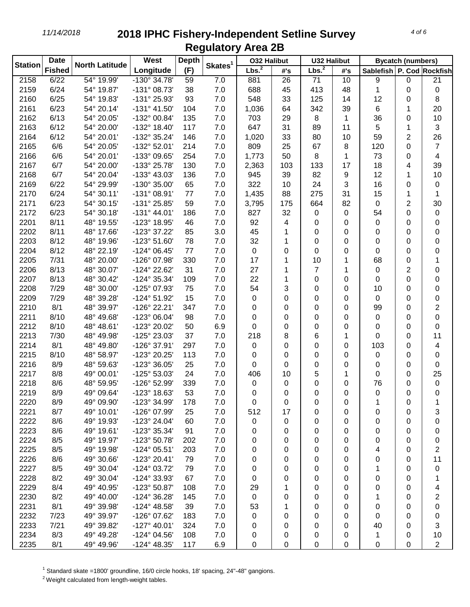| Lbs. <sup>2</sup><br>Lbs. <sup>2</sup><br><b>Fished</b><br>Longitude<br>(F)<br>Sablefish   P. Cod   Rockfish<br>#'s<br>#'s<br>6/22<br>$-130^{\circ}$ 34.78'<br>7.0<br>2158<br>54° 19.99'<br>59<br>881<br>26<br>71<br>10<br>9<br>0<br>21<br>6/24<br>2159<br>54° 19.87'<br>-131° 08.73'<br>38<br>7.0<br>688<br>413<br>0<br>45<br>48<br>1<br>0<br>2160<br>6/25<br>54° 19.83'<br>-131° 25.93'<br>93<br>7.0<br>548<br>33<br>125<br>12<br>8<br>14<br>0<br>6/23<br>2161<br>54° 20.14'<br>$-131^{\circ}$ 41.50'<br>104<br>7.0<br>342<br>39<br>6<br>20<br>1,036<br>64<br>1<br>6/13<br>2162<br>54° 20.05'<br>-132° 00.84'<br>135<br>7.0<br>703<br>29<br>8<br>36<br>10<br>1<br>0<br>5<br>3<br>2163<br>6/12<br>54° 20.00'<br>-132° 18.40'<br>117<br>7.0<br>647<br>31<br>89<br>1<br>11<br>$\overline{2}$<br>26<br>2164<br>6/12<br>54° 20.01'<br>-132° 35.24'<br>146<br>7.0<br>33<br>80<br>10<br>59<br>1,020<br>2165<br>6/6<br>54° 20.05'<br>-132° 52.01'<br>214<br>7.0<br>809<br>25<br>67<br>8<br>120<br>0<br>$\overline{7}$<br>2166<br>6/6<br>54° 20.01'<br>-133° 09.65'<br>254<br>7.0<br>50<br>8<br>73<br>4<br>1,773<br>1<br>0<br>2167<br>6/7<br>54° 20.00'<br>-133° 25.78'<br>130<br>7.0<br>103<br>133<br>17<br>18<br>4<br>39<br>2,363<br>12<br>2168<br>6/7<br>54° 20.04'<br>-133° 43.03'<br>136<br>7.0<br>945<br>39<br>82<br>9<br>10<br>1<br>16<br>2169<br>6/22<br>54° 29.99'<br>-130° 35.00'<br>65<br>7.0<br>322<br>24<br>3<br>10<br>0<br>0<br>275<br>15<br>2170<br>6/24<br>54° 30.11'<br>$-131^{\circ}$ 08.91'<br>7.0<br>1,435<br>88<br>31<br>77<br>1<br>1<br>2<br>6/23<br>54° 30.15'<br>59<br>7.0<br>175<br>664<br>82<br>0<br>30<br>2171<br>-131° 25.85'<br>3,795<br>2172<br>6/23<br>54° 30.18'<br>$-131^{\circ}$ 44.01'<br>7.0<br>827<br>32<br>186<br>0<br>0<br>54<br>0<br>0<br>2201<br>8/11<br>48° 19.55'<br>-123° 18.95'<br>46<br>7.0<br>92<br>4<br>0<br>0<br>0<br>0<br>0<br>2202<br>8/11<br>48° 17.66'<br>-123° 37.22'<br>85<br>3.0<br>45<br>0<br>0<br>0<br>0<br>0<br>1<br>2203<br>8/12<br>48° 19.96'<br>-123° 51.60'<br>78<br>7.0<br>32<br>0<br>0<br>0<br>0<br>0<br>1<br>8/12<br>2204<br>48° 22.19'<br>$-124^{\circ}$ 06.45'<br>77<br>7.0<br>0<br>0<br>0<br>0<br>0<br>0<br>0<br>48° 20.00'<br>2205<br>7/31<br>-126° 07.98'<br>330<br>7.0<br>17<br>10<br>68<br>1<br>0<br>1<br>1<br>31<br>27<br>2206<br>8/13<br>48° 30.07'<br>-124° 22.62'<br>7.0<br>7<br>0<br>$\overline{2}$<br>0<br>1<br>1<br>22<br>2207<br>8/13<br>48° 30.42'<br>-124° 35.34'<br>7.0<br>0<br>0<br>0<br>0<br>109<br>1<br>0<br>7.0<br>54<br>2208<br>7/29<br>48° 30.00'<br>-125° 07.93'<br>75<br>3<br>0<br>0<br>0<br>10<br>0<br>7/29<br>-124° 51.92'<br>15<br>7.0<br>2209<br>48° 39.28'<br>0<br>0<br>0<br>0<br>0<br>0<br>0<br>$\overline{2}$<br>2210<br>8/1<br>48° 39.97'<br>-126° 22.21'<br>347<br>7.0<br>0<br>0<br>0<br>0<br>0<br>99<br>8/10<br>2211<br>48° 49.68'<br>-123° 06.04'<br>98<br>7.0<br>0<br>0<br>0<br>0<br>0<br>0<br>0<br>2212<br>8/10<br>48° 48.61'<br>-123° 20.02'<br>6.9<br>0<br>0<br>50<br>0<br>0<br>0<br>0<br>0<br>2213<br>7/30<br>48° 49.98'<br>-125° 23.03'<br>37<br>7.0<br>218<br>6<br>8<br>1<br>0<br>0<br>11<br>2214<br>8/1<br>48° 49.80'<br>-126° 37.91'<br>297<br>7.0<br>0<br>103<br>4<br>0<br>0<br>0<br>0<br>2215<br>8/10<br>48° 58.97'<br>-123° 20.25'<br>113<br>7.0<br>0<br>0<br>0<br>0<br>0<br>0<br>0<br>2216<br>25<br>7.0<br>8/9<br>48° 59.63'<br>-123° 36.05'<br>0<br>0<br>0<br>0<br>0<br>0<br>0<br>2217<br>8/8<br>49° 00.01'<br>-125° 53.03'<br>7.0<br>5<br>25<br>24<br>406<br>10<br>1<br>0<br>0<br>2218<br>8/6<br>48° 59.95'<br>-126° 52.99'<br>7.0<br>0<br>339<br>0<br>0<br>76<br>0<br>0<br>0<br>2219<br>8/9<br>49° 09.64'<br>-123° 18.63'<br>53<br>7.0<br>0<br>0<br>0<br>0<br>0<br>0<br>0<br>-123° 34.99'<br>49° 09.90'<br>2220<br>8/9<br>178<br>7.0<br>0<br>0<br>0<br>0<br>1<br>0<br>1<br>2221<br>8/7<br>49° 10.01'<br>-126° 07.99'<br>25<br>7.0<br>512<br>3<br>17<br>0<br>0<br>0<br>0<br>2222<br>8/6<br>49° 19.93'<br>-123° 24.04'<br>60<br>7.0<br>0<br>0<br>0<br>0<br>0<br>0<br>0<br>2223<br>49° 19.61'<br>-123° 35.34'<br>91<br>7.0<br>8/6<br>0<br>0<br>0<br>0<br>0<br>0<br>0<br>2224<br>49° 19.97'<br>-123° 50.78'<br>202<br>7.0<br>8/5<br>0<br>0<br>0<br>0<br>0<br>0<br>0<br>2225<br>2<br>8/5<br>49° 19.98'<br>$-124^{\circ}$ 05.51'<br>203<br>7.0<br>0<br>0<br>4<br>0<br>0<br>0<br>2226<br>8/6<br>49° 30.66'<br>-123° 20.41'<br>79<br>7.0<br>11<br>0<br>0<br>0<br>0<br>0<br>0<br>2227<br>49° 30.04'<br>-124° 03.72'<br>79<br>7.0<br>8/5<br>0<br>0<br>0<br>1<br>0<br>0<br>0<br>2228<br>8/2<br>49° 30.04'<br>-124° 33.93'<br>7.0<br>67<br>0<br>0<br>0<br>0<br>0<br>0<br>1<br>2229<br>49° 40.95'<br>-123° 50.87'<br>108<br>7.0<br>8/4<br>29<br>1<br>0<br>0<br>0<br>0<br>4<br>2230<br>49° 40.00'<br>-124° 36.28'<br>145<br>7.0<br>2<br>8/2<br>0<br>0<br>0<br>0<br>1<br>0<br>2231<br>8/1<br>39<br>7.0<br>49° 39.98'<br>$-124^{\circ}$ 48.58'<br>53<br>0<br>0<br>0<br>0<br>0<br>1<br>2232<br>7.0<br>7/23<br>49° 39.97'<br>-126° 07.62'<br>183<br>0<br>0<br>0<br>0<br>0<br>0<br>0<br>2233<br>7/21<br>49° 39.82'<br>$-127^{\circ}$ 40.01'<br>324<br>7.0<br>0<br>40<br>3<br>0<br>0<br>0<br>0<br>2234<br>8/3<br>49° 49.28'<br>-124° 04.56'<br>108<br>7.0<br>1<br>0<br>0<br>0<br>0<br>10<br>0 | <b>Station</b> | <b>Date</b> | <b>North Latitude</b> | <b>West</b>           | <b>Depth</b> |                     | <b>032 Halibut</b> |   | <b>U32 Halibut</b> |   |   | <b>Bycatch (numbers)</b> |                |
|-------------------------------------------------------------------------------------------------------------------------------------------------------------------------------------------------------------------------------------------------------------------------------------------------------------------------------------------------------------------------------------------------------------------------------------------------------------------------------------------------------------------------------------------------------------------------------------------------------------------------------------------------------------------------------------------------------------------------------------------------------------------------------------------------------------------------------------------------------------------------------------------------------------------------------------------------------------------------------------------------------------------------------------------------------------------------------------------------------------------------------------------------------------------------------------------------------------------------------------------------------------------------------------------------------------------------------------------------------------------------------------------------------------------------------------------------------------------------------------------------------------------------------------------------------------------------------------------------------------------------------------------------------------------------------------------------------------------------------------------------------------------------------------------------------------------------------------------------------------------------------------------------------------------------------------------------------------------------------------------------------------------------------------------------------------------------------------------------------------------------------------------------------------------------------------------------------------------------------------------------------------------------------------------------------------------------------------------------------------------------------------------------------------------------------------------------------------------------------------------------------------------------------------------------------------------------------------------------------------------------------------------------------------------------------------------------------------------------------------------------------------------------------------------------------------------------------------------------------------------------------------------------------------------------------------------------------------------------------------------------------------------------------------------------------------------------------------------------------------------------------------------------------------------------------------------------------------------------------------------------------------------------------------------------------------------------------------------------------------------------------------------------------------------------------------------------------------------------------------------------------------------------------------------------------------------------------------------------------------------------------------------------------------------------------------------------------------------------------------------------------------------------------------------------------------------------------------------------------------------------------------------------------------------------------------------------------------------------------------------------------------------------------------------------------------------------------------------------------------------------------------------------------------------------------------------------------------------------------------------------------------------------------------------------------------------------------------------------------------------------------------------------------------------------------------------------------------------------------------------------------------------------------------------------------------------------------------------------------------------------------------------------------------------------------------------------------------------------------------------------------------------------------------------------------------------------------------------------------------------------------------------------------------------------------------------------------------------------------------------------------------------------------------------------------------------------------------------------------------------------------------------------------------------------------------------|----------------|-------------|-----------------------|-----------------------|--------------|---------------------|--------------------|---|--------------------|---|---|--------------------------|----------------|
|                                                                                                                                                                                                                                                                                                                                                                                                                                                                                                                                                                                                                                                                                                                                                                                                                                                                                                                                                                                                                                                                                                                                                                                                                                                                                                                                                                                                                                                                                                                                                                                                                                                                                                                                                                                                                                                                                                                                                                                                                                                                                                                                                                                                                                                                                                                                                                                                                                                                                                                                                                                                                                                                                                                                                                                                                                                                                                                                                                                                                                                                                                                                                                                                                                                                                                                                                                                                                                                                                                                                                                                                                                                                                                                                                                                                                                                                                                                                                                                                                                                                                                                                                                                                                                                                                                                                                                                                                                                                                                                                                                                                                                                                                                                                                                                                                                                                                                                                                                                                                                                                                                                                                                                           |                |             |                       |                       |              | Skates <sup>1</sup> |                    |   |                    |   |   |                          |                |
|                                                                                                                                                                                                                                                                                                                                                                                                                                                                                                                                                                                                                                                                                                                                                                                                                                                                                                                                                                                                                                                                                                                                                                                                                                                                                                                                                                                                                                                                                                                                                                                                                                                                                                                                                                                                                                                                                                                                                                                                                                                                                                                                                                                                                                                                                                                                                                                                                                                                                                                                                                                                                                                                                                                                                                                                                                                                                                                                                                                                                                                                                                                                                                                                                                                                                                                                                                                                                                                                                                                                                                                                                                                                                                                                                                                                                                                                                                                                                                                                                                                                                                                                                                                                                                                                                                                                                                                                                                                                                                                                                                                                                                                                                                                                                                                                                                                                                                                                                                                                                                                                                                                                                                                           |                |             |                       |                       |              |                     |                    |   |                    |   |   |                          |                |
|                                                                                                                                                                                                                                                                                                                                                                                                                                                                                                                                                                                                                                                                                                                                                                                                                                                                                                                                                                                                                                                                                                                                                                                                                                                                                                                                                                                                                                                                                                                                                                                                                                                                                                                                                                                                                                                                                                                                                                                                                                                                                                                                                                                                                                                                                                                                                                                                                                                                                                                                                                                                                                                                                                                                                                                                                                                                                                                                                                                                                                                                                                                                                                                                                                                                                                                                                                                                                                                                                                                                                                                                                                                                                                                                                                                                                                                                                                                                                                                                                                                                                                                                                                                                                                                                                                                                                                                                                                                                                                                                                                                                                                                                                                                                                                                                                                                                                                                                                                                                                                                                                                                                                                                           |                |             |                       |                       |              |                     |                    |   |                    |   |   |                          |                |
|                                                                                                                                                                                                                                                                                                                                                                                                                                                                                                                                                                                                                                                                                                                                                                                                                                                                                                                                                                                                                                                                                                                                                                                                                                                                                                                                                                                                                                                                                                                                                                                                                                                                                                                                                                                                                                                                                                                                                                                                                                                                                                                                                                                                                                                                                                                                                                                                                                                                                                                                                                                                                                                                                                                                                                                                                                                                                                                                                                                                                                                                                                                                                                                                                                                                                                                                                                                                                                                                                                                                                                                                                                                                                                                                                                                                                                                                                                                                                                                                                                                                                                                                                                                                                                                                                                                                                                                                                                                                                                                                                                                                                                                                                                                                                                                                                                                                                                                                                                                                                                                                                                                                                                                           |                |             |                       |                       |              |                     |                    |   |                    |   |   |                          |                |
|                                                                                                                                                                                                                                                                                                                                                                                                                                                                                                                                                                                                                                                                                                                                                                                                                                                                                                                                                                                                                                                                                                                                                                                                                                                                                                                                                                                                                                                                                                                                                                                                                                                                                                                                                                                                                                                                                                                                                                                                                                                                                                                                                                                                                                                                                                                                                                                                                                                                                                                                                                                                                                                                                                                                                                                                                                                                                                                                                                                                                                                                                                                                                                                                                                                                                                                                                                                                                                                                                                                                                                                                                                                                                                                                                                                                                                                                                                                                                                                                                                                                                                                                                                                                                                                                                                                                                                                                                                                                                                                                                                                                                                                                                                                                                                                                                                                                                                                                                                                                                                                                                                                                                                                           |                |             |                       |                       |              |                     |                    |   |                    |   |   |                          |                |
|                                                                                                                                                                                                                                                                                                                                                                                                                                                                                                                                                                                                                                                                                                                                                                                                                                                                                                                                                                                                                                                                                                                                                                                                                                                                                                                                                                                                                                                                                                                                                                                                                                                                                                                                                                                                                                                                                                                                                                                                                                                                                                                                                                                                                                                                                                                                                                                                                                                                                                                                                                                                                                                                                                                                                                                                                                                                                                                                                                                                                                                                                                                                                                                                                                                                                                                                                                                                                                                                                                                                                                                                                                                                                                                                                                                                                                                                                                                                                                                                                                                                                                                                                                                                                                                                                                                                                                                                                                                                                                                                                                                                                                                                                                                                                                                                                                                                                                                                                                                                                                                                                                                                                                                           |                |             |                       |                       |              |                     |                    |   |                    |   |   |                          |                |
|                                                                                                                                                                                                                                                                                                                                                                                                                                                                                                                                                                                                                                                                                                                                                                                                                                                                                                                                                                                                                                                                                                                                                                                                                                                                                                                                                                                                                                                                                                                                                                                                                                                                                                                                                                                                                                                                                                                                                                                                                                                                                                                                                                                                                                                                                                                                                                                                                                                                                                                                                                                                                                                                                                                                                                                                                                                                                                                                                                                                                                                                                                                                                                                                                                                                                                                                                                                                                                                                                                                                                                                                                                                                                                                                                                                                                                                                                                                                                                                                                                                                                                                                                                                                                                                                                                                                                                                                                                                                                                                                                                                                                                                                                                                                                                                                                                                                                                                                                                                                                                                                                                                                                                                           |                |             |                       |                       |              |                     |                    |   |                    |   |   |                          |                |
|                                                                                                                                                                                                                                                                                                                                                                                                                                                                                                                                                                                                                                                                                                                                                                                                                                                                                                                                                                                                                                                                                                                                                                                                                                                                                                                                                                                                                                                                                                                                                                                                                                                                                                                                                                                                                                                                                                                                                                                                                                                                                                                                                                                                                                                                                                                                                                                                                                                                                                                                                                                                                                                                                                                                                                                                                                                                                                                                                                                                                                                                                                                                                                                                                                                                                                                                                                                                                                                                                                                                                                                                                                                                                                                                                                                                                                                                                                                                                                                                                                                                                                                                                                                                                                                                                                                                                                                                                                                                                                                                                                                                                                                                                                                                                                                                                                                                                                                                                                                                                                                                                                                                                                                           |                |             |                       |                       |              |                     |                    |   |                    |   |   |                          |                |
|                                                                                                                                                                                                                                                                                                                                                                                                                                                                                                                                                                                                                                                                                                                                                                                                                                                                                                                                                                                                                                                                                                                                                                                                                                                                                                                                                                                                                                                                                                                                                                                                                                                                                                                                                                                                                                                                                                                                                                                                                                                                                                                                                                                                                                                                                                                                                                                                                                                                                                                                                                                                                                                                                                                                                                                                                                                                                                                                                                                                                                                                                                                                                                                                                                                                                                                                                                                                                                                                                                                                                                                                                                                                                                                                                                                                                                                                                                                                                                                                                                                                                                                                                                                                                                                                                                                                                                                                                                                                                                                                                                                                                                                                                                                                                                                                                                                                                                                                                                                                                                                                                                                                                                                           |                |             |                       |                       |              |                     |                    |   |                    |   |   |                          |                |
|                                                                                                                                                                                                                                                                                                                                                                                                                                                                                                                                                                                                                                                                                                                                                                                                                                                                                                                                                                                                                                                                                                                                                                                                                                                                                                                                                                                                                                                                                                                                                                                                                                                                                                                                                                                                                                                                                                                                                                                                                                                                                                                                                                                                                                                                                                                                                                                                                                                                                                                                                                                                                                                                                                                                                                                                                                                                                                                                                                                                                                                                                                                                                                                                                                                                                                                                                                                                                                                                                                                                                                                                                                                                                                                                                                                                                                                                                                                                                                                                                                                                                                                                                                                                                                                                                                                                                                                                                                                                                                                                                                                                                                                                                                                                                                                                                                                                                                                                                                                                                                                                                                                                                                                           |                |             |                       |                       |              |                     |                    |   |                    |   |   |                          |                |
|                                                                                                                                                                                                                                                                                                                                                                                                                                                                                                                                                                                                                                                                                                                                                                                                                                                                                                                                                                                                                                                                                                                                                                                                                                                                                                                                                                                                                                                                                                                                                                                                                                                                                                                                                                                                                                                                                                                                                                                                                                                                                                                                                                                                                                                                                                                                                                                                                                                                                                                                                                                                                                                                                                                                                                                                                                                                                                                                                                                                                                                                                                                                                                                                                                                                                                                                                                                                                                                                                                                                                                                                                                                                                                                                                                                                                                                                                                                                                                                                                                                                                                                                                                                                                                                                                                                                                                                                                                                                                                                                                                                                                                                                                                                                                                                                                                                                                                                                                                                                                                                                                                                                                                                           |                |             |                       |                       |              |                     |                    |   |                    |   |   |                          |                |
|                                                                                                                                                                                                                                                                                                                                                                                                                                                                                                                                                                                                                                                                                                                                                                                                                                                                                                                                                                                                                                                                                                                                                                                                                                                                                                                                                                                                                                                                                                                                                                                                                                                                                                                                                                                                                                                                                                                                                                                                                                                                                                                                                                                                                                                                                                                                                                                                                                                                                                                                                                                                                                                                                                                                                                                                                                                                                                                                                                                                                                                                                                                                                                                                                                                                                                                                                                                                                                                                                                                                                                                                                                                                                                                                                                                                                                                                                                                                                                                                                                                                                                                                                                                                                                                                                                                                                                                                                                                                                                                                                                                                                                                                                                                                                                                                                                                                                                                                                                                                                                                                                                                                                                                           |                |             |                       |                       |              |                     |                    |   |                    |   |   |                          |                |
|                                                                                                                                                                                                                                                                                                                                                                                                                                                                                                                                                                                                                                                                                                                                                                                                                                                                                                                                                                                                                                                                                                                                                                                                                                                                                                                                                                                                                                                                                                                                                                                                                                                                                                                                                                                                                                                                                                                                                                                                                                                                                                                                                                                                                                                                                                                                                                                                                                                                                                                                                                                                                                                                                                                                                                                                                                                                                                                                                                                                                                                                                                                                                                                                                                                                                                                                                                                                                                                                                                                                                                                                                                                                                                                                                                                                                                                                                                                                                                                                                                                                                                                                                                                                                                                                                                                                                                                                                                                                                                                                                                                                                                                                                                                                                                                                                                                                                                                                                                                                                                                                                                                                                                                           |                |             |                       |                       |              |                     |                    |   |                    |   |   |                          |                |
|                                                                                                                                                                                                                                                                                                                                                                                                                                                                                                                                                                                                                                                                                                                                                                                                                                                                                                                                                                                                                                                                                                                                                                                                                                                                                                                                                                                                                                                                                                                                                                                                                                                                                                                                                                                                                                                                                                                                                                                                                                                                                                                                                                                                                                                                                                                                                                                                                                                                                                                                                                                                                                                                                                                                                                                                                                                                                                                                                                                                                                                                                                                                                                                                                                                                                                                                                                                                                                                                                                                                                                                                                                                                                                                                                                                                                                                                                                                                                                                                                                                                                                                                                                                                                                                                                                                                                                                                                                                                                                                                                                                                                                                                                                                                                                                                                                                                                                                                                                                                                                                                                                                                                                                           |                |             |                       |                       |              |                     |                    |   |                    |   |   |                          |                |
|                                                                                                                                                                                                                                                                                                                                                                                                                                                                                                                                                                                                                                                                                                                                                                                                                                                                                                                                                                                                                                                                                                                                                                                                                                                                                                                                                                                                                                                                                                                                                                                                                                                                                                                                                                                                                                                                                                                                                                                                                                                                                                                                                                                                                                                                                                                                                                                                                                                                                                                                                                                                                                                                                                                                                                                                                                                                                                                                                                                                                                                                                                                                                                                                                                                                                                                                                                                                                                                                                                                                                                                                                                                                                                                                                                                                                                                                                                                                                                                                                                                                                                                                                                                                                                                                                                                                                                                                                                                                                                                                                                                                                                                                                                                                                                                                                                                                                                                                                                                                                                                                                                                                                                                           |                |             |                       |                       |              |                     |                    |   |                    |   |   |                          |                |
|                                                                                                                                                                                                                                                                                                                                                                                                                                                                                                                                                                                                                                                                                                                                                                                                                                                                                                                                                                                                                                                                                                                                                                                                                                                                                                                                                                                                                                                                                                                                                                                                                                                                                                                                                                                                                                                                                                                                                                                                                                                                                                                                                                                                                                                                                                                                                                                                                                                                                                                                                                                                                                                                                                                                                                                                                                                                                                                                                                                                                                                                                                                                                                                                                                                                                                                                                                                                                                                                                                                                                                                                                                                                                                                                                                                                                                                                                                                                                                                                                                                                                                                                                                                                                                                                                                                                                                                                                                                                                                                                                                                                                                                                                                                                                                                                                                                                                                                                                                                                                                                                                                                                                                                           |                |             |                       |                       |              |                     |                    |   |                    |   |   |                          |                |
|                                                                                                                                                                                                                                                                                                                                                                                                                                                                                                                                                                                                                                                                                                                                                                                                                                                                                                                                                                                                                                                                                                                                                                                                                                                                                                                                                                                                                                                                                                                                                                                                                                                                                                                                                                                                                                                                                                                                                                                                                                                                                                                                                                                                                                                                                                                                                                                                                                                                                                                                                                                                                                                                                                                                                                                                                                                                                                                                                                                                                                                                                                                                                                                                                                                                                                                                                                                                                                                                                                                                                                                                                                                                                                                                                                                                                                                                                                                                                                                                                                                                                                                                                                                                                                                                                                                                                                                                                                                                                                                                                                                                                                                                                                                                                                                                                                                                                                                                                                                                                                                                                                                                                                                           |                |             |                       |                       |              |                     |                    |   |                    |   |   |                          |                |
|                                                                                                                                                                                                                                                                                                                                                                                                                                                                                                                                                                                                                                                                                                                                                                                                                                                                                                                                                                                                                                                                                                                                                                                                                                                                                                                                                                                                                                                                                                                                                                                                                                                                                                                                                                                                                                                                                                                                                                                                                                                                                                                                                                                                                                                                                                                                                                                                                                                                                                                                                                                                                                                                                                                                                                                                                                                                                                                                                                                                                                                                                                                                                                                                                                                                                                                                                                                                                                                                                                                                                                                                                                                                                                                                                                                                                                                                                                                                                                                                                                                                                                                                                                                                                                                                                                                                                                                                                                                                                                                                                                                                                                                                                                                                                                                                                                                                                                                                                                                                                                                                                                                                                                                           |                |             |                       |                       |              |                     |                    |   |                    |   |   |                          |                |
|                                                                                                                                                                                                                                                                                                                                                                                                                                                                                                                                                                                                                                                                                                                                                                                                                                                                                                                                                                                                                                                                                                                                                                                                                                                                                                                                                                                                                                                                                                                                                                                                                                                                                                                                                                                                                                                                                                                                                                                                                                                                                                                                                                                                                                                                                                                                                                                                                                                                                                                                                                                                                                                                                                                                                                                                                                                                                                                                                                                                                                                                                                                                                                                                                                                                                                                                                                                                                                                                                                                                                                                                                                                                                                                                                                                                                                                                                                                                                                                                                                                                                                                                                                                                                                                                                                                                                                                                                                                                                                                                                                                                                                                                                                                                                                                                                                                                                                                                                                                                                                                                                                                                                                                           |                |             |                       |                       |              |                     |                    |   |                    |   |   |                          |                |
|                                                                                                                                                                                                                                                                                                                                                                                                                                                                                                                                                                                                                                                                                                                                                                                                                                                                                                                                                                                                                                                                                                                                                                                                                                                                                                                                                                                                                                                                                                                                                                                                                                                                                                                                                                                                                                                                                                                                                                                                                                                                                                                                                                                                                                                                                                                                                                                                                                                                                                                                                                                                                                                                                                                                                                                                                                                                                                                                                                                                                                                                                                                                                                                                                                                                                                                                                                                                                                                                                                                                                                                                                                                                                                                                                                                                                                                                                                                                                                                                                                                                                                                                                                                                                                                                                                                                                                                                                                                                                                                                                                                                                                                                                                                                                                                                                                                                                                                                                                                                                                                                                                                                                                                           |                |             |                       |                       |              |                     |                    |   |                    |   |   |                          |                |
|                                                                                                                                                                                                                                                                                                                                                                                                                                                                                                                                                                                                                                                                                                                                                                                                                                                                                                                                                                                                                                                                                                                                                                                                                                                                                                                                                                                                                                                                                                                                                                                                                                                                                                                                                                                                                                                                                                                                                                                                                                                                                                                                                                                                                                                                                                                                                                                                                                                                                                                                                                                                                                                                                                                                                                                                                                                                                                                                                                                                                                                                                                                                                                                                                                                                                                                                                                                                                                                                                                                                                                                                                                                                                                                                                                                                                                                                                                                                                                                                                                                                                                                                                                                                                                                                                                                                                                                                                                                                                                                                                                                                                                                                                                                                                                                                                                                                                                                                                                                                                                                                                                                                                                                           |                |             |                       |                       |              |                     |                    |   |                    |   |   |                          |                |
|                                                                                                                                                                                                                                                                                                                                                                                                                                                                                                                                                                                                                                                                                                                                                                                                                                                                                                                                                                                                                                                                                                                                                                                                                                                                                                                                                                                                                                                                                                                                                                                                                                                                                                                                                                                                                                                                                                                                                                                                                                                                                                                                                                                                                                                                                                                                                                                                                                                                                                                                                                                                                                                                                                                                                                                                                                                                                                                                                                                                                                                                                                                                                                                                                                                                                                                                                                                                                                                                                                                                                                                                                                                                                                                                                                                                                                                                                                                                                                                                                                                                                                                                                                                                                                                                                                                                                                                                                                                                                                                                                                                                                                                                                                                                                                                                                                                                                                                                                                                                                                                                                                                                                                                           |                |             |                       |                       |              |                     |                    |   |                    |   |   |                          |                |
|                                                                                                                                                                                                                                                                                                                                                                                                                                                                                                                                                                                                                                                                                                                                                                                                                                                                                                                                                                                                                                                                                                                                                                                                                                                                                                                                                                                                                                                                                                                                                                                                                                                                                                                                                                                                                                                                                                                                                                                                                                                                                                                                                                                                                                                                                                                                                                                                                                                                                                                                                                                                                                                                                                                                                                                                                                                                                                                                                                                                                                                                                                                                                                                                                                                                                                                                                                                                                                                                                                                                                                                                                                                                                                                                                                                                                                                                                                                                                                                                                                                                                                                                                                                                                                                                                                                                                                                                                                                                                                                                                                                                                                                                                                                                                                                                                                                                                                                                                                                                                                                                                                                                                                                           |                |             |                       |                       |              |                     |                    |   |                    |   |   |                          |                |
|                                                                                                                                                                                                                                                                                                                                                                                                                                                                                                                                                                                                                                                                                                                                                                                                                                                                                                                                                                                                                                                                                                                                                                                                                                                                                                                                                                                                                                                                                                                                                                                                                                                                                                                                                                                                                                                                                                                                                                                                                                                                                                                                                                                                                                                                                                                                                                                                                                                                                                                                                                                                                                                                                                                                                                                                                                                                                                                                                                                                                                                                                                                                                                                                                                                                                                                                                                                                                                                                                                                                                                                                                                                                                                                                                                                                                                                                                                                                                                                                                                                                                                                                                                                                                                                                                                                                                                                                                                                                                                                                                                                                                                                                                                                                                                                                                                                                                                                                                                                                                                                                                                                                                                                           |                |             |                       |                       |              |                     |                    |   |                    |   |   |                          |                |
|                                                                                                                                                                                                                                                                                                                                                                                                                                                                                                                                                                                                                                                                                                                                                                                                                                                                                                                                                                                                                                                                                                                                                                                                                                                                                                                                                                                                                                                                                                                                                                                                                                                                                                                                                                                                                                                                                                                                                                                                                                                                                                                                                                                                                                                                                                                                                                                                                                                                                                                                                                                                                                                                                                                                                                                                                                                                                                                                                                                                                                                                                                                                                                                                                                                                                                                                                                                                                                                                                                                                                                                                                                                                                                                                                                                                                                                                                                                                                                                                                                                                                                                                                                                                                                                                                                                                                                                                                                                                                                                                                                                                                                                                                                                                                                                                                                                                                                                                                                                                                                                                                                                                                                                           |                |             |                       |                       |              |                     |                    |   |                    |   |   |                          |                |
|                                                                                                                                                                                                                                                                                                                                                                                                                                                                                                                                                                                                                                                                                                                                                                                                                                                                                                                                                                                                                                                                                                                                                                                                                                                                                                                                                                                                                                                                                                                                                                                                                                                                                                                                                                                                                                                                                                                                                                                                                                                                                                                                                                                                                                                                                                                                                                                                                                                                                                                                                                                                                                                                                                                                                                                                                                                                                                                                                                                                                                                                                                                                                                                                                                                                                                                                                                                                                                                                                                                                                                                                                                                                                                                                                                                                                                                                                                                                                                                                                                                                                                                                                                                                                                                                                                                                                                                                                                                                                                                                                                                                                                                                                                                                                                                                                                                                                                                                                                                                                                                                                                                                                                                           |                |             |                       |                       |              |                     |                    |   |                    |   |   |                          |                |
|                                                                                                                                                                                                                                                                                                                                                                                                                                                                                                                                                                                                                                                                                                                                                                                                                                                                                                                                                                                                                                                                                                                                                                                                                                                                                                                                                                                                                                                                                                                                                                                                                                                                                                                                                                                                                                                                                                                                                                                                                                                                                                                                                                                                                                                                                                                                                                                                                                                                                                                                                                                                                                                                                                                                                                                                                                                                                                                                                                                                                                                                                                                                                                                                                                                                                                                                                                                                                                                                                                                                                                                                                                                                                                                                                                                                                                                                                                                                                                                                                                                                                                                                                                                                                                                                                                                                                                                                                                                                                                                                                                                                                                                                                                                                                                                                                                                                                                                                                                                                                                                                                                                                                                                           |                |             |                       |                       |              |                     |                    |   |                    |   |   |                          |                |
|                                                                                                                                                                                                                                                                                                                                                                                                                                                                                                                                                                                                                                                                                                                                                                                                                                                                                                                                                                                                                                                                                                                                                                                                                                                                                                                                                                                                                                                                                                                                                                                                                                                                                                                                                                                                                                                                                                                                                                                                                                                                                                                                                                                                                                                                                                                                                                                                                                                                                                                                                                                                                                                                                                                                                                                                                                                                                                                                                                                                                                                                                                                                                                                                                                                                                                                                                                                                                                                                                                                                                                                                                                                                                                                                                                                                                                                                                                                                                                                                                                                                                                                                                                                                                                                                                                                                                                                                                                                                                                                                                                                                                                                                                                                                                                                                                                                                                                                                                                                                                                                                                                                                                                                           |                |             |                       |                       |              |                     |                    |   |                    |   |   |                          |                |
|                                                                                                                                                                                                                                                                                                                                                                                                                                                                                                                                                                                                                                                                                                                                                                                                                                                                                                                                                                                                                                                                                                                                                                                                                                                                                                                                                                                                                                                                                                                                                                                                                                                                                                                                                                                                                                                                                                                                                                                                                                                                                                                                                                                                                                                                                                                                                                                                                                                                                                                                                                                                                                                                                                                                                                                                                                                                                                                                                                                                                                                                                                                                                                                                                                                                                                                                                                                                                                                                                                                                                                                                                                                                                                                                                                                                                                                                                                                                                                                                                                                                                                                                                                                                                                                                                                                                                                                                                                                                                                                                                                                                                                                                                                                                                                                                                                                                                                                                                                                                                                                                                                                                                                                           |                |             |                       |                       |              |                     |                    |   |                    |   |   |                          |                |
|                                                                                                                                                                                                                                                                                                                                                                                                                                                                                                                                                                                                                                                                                                                                                                                                                                                                                                                                                                                                                                                                                                                                                                                                                                                                                                                                                                                                                                                                                                                                                                                                                                                                                                                                                                                                                                                                                                                                                                                                                                                                                                                                                                                                                                                                                                                                                                                                                                                                                                                                                                                                                                                                                                                                                                                                                                                                                                                                                                                                                                                                                                                                                                                                                                                                                                                                                                                                                                                                                                                                                                                                                                                                                                                                                                                                                                                                                                                                                                                                                                                                                                                                                                                                                                                                                                                                                                                                                                                                                                                                                                                                                                                                                                                                                                                                                                                                                                                                                                                                                                                                                                                                                                                           |                |             |                       |                       |              |                     |                    |   |                    |   |   |                          |                |
|                                                                                                                                                                                                                                                                                                                                                                                                                                                                                                                                                                                                                                                                                                                                                                                                                                                                                                                                                                                                                                                                                                                                                                                                                                                                                                                                                                                                                                                                                                                                                                                                                                                                                                                                                                                                                                                                                                                                                                                                                                                                                                                                                                                                                                                                                                                                                                                                                                                                                                                                                                                                                                                                                                                                                                                                                                                                                                                                                                                                                                                                                                                                                                                                                                                                                                                                                                                                                                                                                                                                                                                                                                                                                                                                                                                                                                                                                                                                                                                                                                                                                                                                                                                                                                                                                                                                                                                                                                                                                                                                                                                                                                                                                                                                                                                                                                                                                                                                                                                                                                                                                                                                                                                           |                |             |                       |                       |              |                     |                    |   |                    |   |   |                          |                |
|                                                                                                                                                                                                                                                                                                                                                                                                                                                                                                                                                                                                                                                                                                                                                                                                                                                                                                                                                                                                                                                                                                                                                                                                                                                                                                                                                                                                                                                                                                                                                                                                                                                                                                                                                                                                                                                                                                                                                                                                                                                                                                                                                                                                                                                                                                                                                                                                                                                                                                                                                                                                                                                                                                                                                                                                                                                                                                                                                                                                                                                                                                                                                                                                                                                                                                                                                                                                                                                                                                                                                                                                                                                                                                                                                                                                                                                                                                                                                                                                                                                                                                                                                                                                                                                                                                                                                                                                                                                                                                                                                                                                                                                                                                                                                                                                                                                                                                                                                                                                                                                                                                                                                                                           |                |             |                       |                       |              |                     |                    |   |                    |   |   |                          |                |
|                                                                                                                                                                                                                                                                                                                                                                                                                                                                                                                                                                                                                                                                                                                                                                                                                                                                                                                                                                                                                                                                                                                                                                                                                                                                                                                                                                                                                                                                                                                                                                                                                                                                                                                                                                                                                                                                                                                                                                                                                                                                                                                                                                                                                                                                                                                                                                                                                                                                                                                                                                                                                                                                                                                                                                                                                                                                                                                                                                                                                                                                                                                                                                                                                                                                                                                                                                                                                                                                                                                                                                                                                                                                                                                                                                                                                                                                                                                                                                                                                                                                                                                                                                                                                                                                                                                                                                                                                                                                                                                                                                                                                                                                                                                                                                                                                                                                                                                                                                                                                                                                                                                                                                                           |                |             |                       |                       |              |                     |                    |   |                    |   |   |                          |                |
|                                                                                                                                                                                                                                                                                                                                                                                                                                                                                                                                                                                                                                                                                                                                                                                                                                                                                                                                                                                                                                                                                                                                                                                                                                                                                                                                                                                                                                                                                                                                                                                                                                                                                                                                                                                                                                                                                                                                                                                                                                                                                                                                                                                                                                                                                                                                                                                                                                                                                                                                                                                                                                                                                                                                                                                                                                                                                                                                                                                                                                                                                                                                                                                                                                                                                                                                                                                                                                                                                                                                                                                                                                                                                                                                                                                                                                                                                                                                                                                                                                                                                                                                                                                                                                                                                                                                                                                                                                                                                                                                                                                                                                                                                                                                                                                                                                                                                                                                                                                                                                                                                                                                                                                           |                |             |                       |                       |              |                     |                    |   |                    |   |   |                          |                |
|                                                                                                                                                                                                                                                                                                                                                                                                                                                                                                                                                                                                                                                                                                                                                                                                                                                                                                                                                                                                                                                                                                                                                                                                                                                                                                                                                                                                                                                                                                                                                                                                                                                                                                                                                                                                                                                                                                                                                                                                                                                                                                                                                                                                                                                                                                                                                                                                                                                                                                                                                                                                                                                                                                                                                                                                                                                                                                                                                                                                                                                                                                                                                                                                                                                                                                                                                                                                                                                                                                                                                                                                                                                                                                                                                                                                                                                                                                                                                                                                                                                                                                                                                                                                                                                                                                                                                                                                                                                                                                                                                                                                                                                                                                                                                                                                                                                                                                                                                                                                                                                                                                                                                                                           |                |             |                       |                       |              |                     |                    |   |                    |   |   |                          |                |
|                                                                                                                                                                                                                                                                                                                                                                                                                                                                                                                                                                                                                                                                                                                                                                                                                                                                                                                                                                                                                                                                                                                                                                                                                                                                                                                                                                                                                                                                                                                                                                                                                                                                                                                                                                                                                                                                                                                                                                                                                                                                                                                                                                                                                                                                                                                                                                                                                                                                                                                                                                                                                                                                                                                                                                                                                                                                                                                                                                                                                                                                                                                                                                                                                                                                                                                                                                                                                                                                                                                                                                                                                                                                                                                                                                                                                                                                                                                                                                                                                                                                                                                                                                                                                                                                                                                                                                                                                                                                                                                                                                                                                                                                                                                                                                                                                                                                                                                                                                                                                                                                                                                                                                                           |                |             |                       |                       |              |                     |                    |   |                    |   |   |                          |                |
|                                                                                                                                                                                                                                                                                                                                                                                                                                                                                                                                                                                                                                                                                                                                                                                                                                                                                                                                                                                                                                                                                                                                                                                                                                                                                                                                                                                                                                                                                                                                                                                                                                                                                                                                                                                                                                                                                                                                                                                                                                                                                                                                                                                                                                                                                                                                                                                                                                                                                                                                                                                                                                                                                                                                                                                                                                                                                                                                                                                                                                                                                                                                                                                                                                                                                                                                                                                                                                                                                                                                                                                                                                                                                                                                                                                                                                                                                                                                                                                                                                                                                                                                                                                                                                                                                                                                                                                                                                                                                                                                                                                                                                                                                                                                                                                                                                                                                                                                                                                                                                                                                                                                                                                           |                |             |                       |                       |              |                     |                    |   |                    |   |   |                          |                |
|                                                                                                                                                                                                                                                                                                                                                                                                                                                                                                                                                                                                                                                                                                                                                                                                                                                                                                                                                                                                                                                                                                                                                                                                                                                                                                                                                                                                                                                                                                                                                                                                                                                                                                                                                                                                                                                                                                                                                                                                                                                                                                                                                                                                                                                                                                                                                                                                                                                                                                                                                                                                                                                                                                                                                                                                                                                                                                                                                                                                                                                                                                                                                                                                                                                                                                                                                                                                                                                                                                                                                                                                                                                                                                                                                                                                                                                                                                                                                                                                                                                                                                                                                                                                                                                                                                                                                                                                                                                                                                                                                                                                                                                                                                                                                                                                                                                                                                                                                                                                                                                                                                                                                                                           |                |             |                       |                       |              |                     |                    |   |                    |   |   |                          |                |
|                                                                                                                                                                                                                                                                                                                                                                                                                                                                                                                                                                                                                                                                                                                                                                                                                                                                                                                                                                                                                                                                                                                                                                                                                                                                                                                                                                                                                                                                                                                                                                                                                                                                                                                                                                                                                                                                                                                                                                                                                                                                                                                                                                                                                                                                                                                                                                                                                                                                                                                                                                                                                                                                                                                                                                                                                                                                                                                                                                                                                                                                                                                                                                                                                                                                                                                                                                                                                                                                                                                                                                                                                                                                                                                                                                                                                                                                                                                                                                                                                                                                                                                                                                                                                                                                                                                                                                                                                                                                                                                                                                                                                                                                                                                                                                                                                                                                                                                                                                                                                                                                                                                                                                                           |                |             |                       |                       |              |                     |                    |   |                    |   |   |                          |                |
|                                                                                                                                                                                                                                                                                                                                                                                                                                                                                                                                                                                                                                                                                                                                                                                                                                                                                                                                                                                                                                                                                                                                                                                                                                                                                                                                                                                                                                                                                                                                                                                                                                                                                                                                                                                                                                                                                                                                                                                                                                                                                                                                                                                                                                                                                                                                                                                                                                                                                                                                                                                                                                                                                                                                                                                                                                                                                                                                                                                                                                                                                                                                                                                                                                                                                                                                                                                                                                                                                                                                                                                                                                                                                                                                                                                                                                                                                                                                                                                                                                                                                                                                                                                                                                                                                                                                                                                                                                                                                                                                                                                                                                                                                                                                                                                                                                                                                                                                                                                                                                                                                                                                                                                           |                |             |                       |                       |              |                     |                    |   |                    |   |   |                          |                |
|                                                                                                                                                                                                                                                                                                                                                                                                                                                                                                                                                                                                                                                                                                                                                                                                                                                                                                                                                                                                                                                                                                                                                                                                                                                                                                                                                                                                                                                                                                                                                                                                                                                                                                                                                                                                                                                                                                                                                                                                                                                                                                                                                                                                                                                                                                                                                                                                                                                                                                                                                                                                                                                                                                                                                                                                                                                                                                                                                                                                                                                                                                                                                                                                                                                                                                                                                                                                                                                                                                                                                                                                                                                                                                                                                                                                                                                                                                                                                                                                                                                                                                                                                                                                                                                                                                                                                                                                                                                                                                                                                                                                                                                                                                                                                                                                                                                                                                                                                                                                                                                                                                                                                                                           |                |             |                       |                       |              |                     |                    |   |                    |   |   |                          |                |
|                                                                                                                                                                                                                                                                                                                                                                                                                                                                                                                                                                                                                                                                                                                                                                                                                                                                                                                                                                                                                                                                                                                                                                                                                                                                                                                                                                                                                                                                                                                                                                                                                                                                                                                                                                                                                                                                                                                                                                                                                                                                                                                                                                                                                                                                                                                                                                                                                                                                                                                                                                                                                                                                                                                                                                                                                                                                                                                                                                                                                                                                                                                                                                                                                                                                                                                                                                                                                                                                                                                                                                                                                                                                                                                                                                                                                                                                                                                                                                                                                                                                                                                                                                                                                                                                                                                                                                                                                                                                                                                                                                                                                                                                                                                                                                                                                                                                                                                                                                                                                                                                                                                                                                                           |                |             |                       |                       |              |                     |                    |   |                    |   |   |                          |                |
|                                                                                                                                                                                                                                                                                                                                                                                                                                                                                                                                                                                                                                                                                                                                                                                                                                                                                                                                                                                                                                                                                                                                                                                                                                                                                                                                                                                                                                                                                                                                                                                                                                                                                                                                                                                                                                                                                                                                                                                                                                                                                                                                                                                                                                                                                                                                                                                                                                                                                                                                                                                                                                                                                                                                                                                                                                                                                                                                                                                                                                                                                                                                                                                                                                                                                                                                                                                                                                                                                                                                                                                                                                                                                                                                                                                                                                                                                                                                                                                                                                                                                                                                                                                                                                                                                                                                                                                                                                                                                                                                                                                                                                                                                                                                                                                                                                                                                                                                                                                                                                                                                                                                                                                           |                |             |                       |                       |              |                     |                    |   |                    |   |   |                          |                |
|                                                                                                                                                                                                                                                                                                                                                                                                                                                                                                                                                                                                                                                                                                                                                                                                                                                                                                                                                                                                                                                                                                                                                                                                                                                                                                                                                                                                                                                                                                                                                                                                                                                                                                                                                                                                                                                                                                                                                                                                                                                                                                                                                                                                                                                                                                                                                                                                                                                                                                                                                                                                                                                                                                                                                                                                                                                                                                                                                                                                                                                                                                                                                                                                                                                                                                                                                                                                                                                                                                                                                                                                                                                                                                                                                                                                                                                                                                                                                                                                                                                                                                                                                                                                                                                                                                                                                                                                                                                                                                                                                                                                                                                                                                                                                                                                                                                                                                                                                                                                                                                                                                                                                                                           |                |             |                       |                       |              |                     |                    |   |                    |   |   |                          |                |
|                                                                                                                                                                                                                                                                                                                                                                                                                                                                                                                                                                                                                                                                                                                                                                                                                                                                                                                                                                                                                                                                                                                                                                                                                                                                                                                                                                                                                                                                                                                                                                                                                                                                                                                                                                                                                                                                                                                                                                                                                                                                                                                                                                                                                                                                                                                                                                                                                                                                                                                                                                                                                                                                                                                                                                                                                                                                                                                                                                                                                                                                                                                                                                                                                                                                                                                                                                                                                                                                                                                                                                                                                                                                                                                                                                                                                                                                                                                                                                                                                                                                                                                                                                                                                                                                                                                                                                                                                                                                                                                                                                                                                                                                                                                                                                                                                                                                                                                                                                                                                                                                                                                                                                                           |                |             |                       |                       |              |                     |                    |   |                    |   |   |                          |                |
|                                                                                                                                                                                                                                                                                                                                                                                                                                                                                                                                                                                                                                                                                                                                                                                                                                                                                                                                                                                                                                                                                                                                                                                                                                                                                                                                                                                                                                                                                                                                                                                                                                                                                                                                                                                                                                                                                                                                                                                                                                                                                                                                                                                                                                                                                                                                                                                                                                                                                                                                                                                                                                                                                                                                                                                                                                                                                                                                                                                                                                                                                                                                                                                                                                                                                                                                                                                                                                                                                                                                                                                                                                                                                                                                                                                                                                                                                                                                                                                                                                                                                                                                                                                                                                                                                                                                                                                                                                                                                                                                                                                                                                                                                                                                                                                                                                                                                                                                                                                                                                                                                                                                                                                           |                |             |                       |                       |              |                     |                    |   |                    |   |   |                          |                |
|                                                                                                                                                                                                                                                                                                                                                                                                                                                                                                                                                                                                                                                                                                                                                                                                                                                                                                                                                                                                                                                                                                                                                                                                                                                                                                                                                                                                                                                                                                                                                                                                                                                                                                                                                                                                                                                                                                                                                                                                                                                                                                                                                                                                                                                                                                                                                                                                                                                                                                                                                                                                                                                                                                                                                                                                                                                                                                                                                                                                                                                                                                                                                                                                                                                                                                                                                                                                                                                                                                                                                                                                                                                                                                                                                                                                                                                                                                                                                                                                                                                                                                                                                                                                                                                                                                                                                                                                                                                                                                                                                                                                                                                                                                                                                                                                                                                                                                                                                                                                                                                                                                                                                                                           |                |             |                       |                       |              |                     |                    |   |                    |   |   |                          |                |
|                                                                                                                                                                                                                                                                                                                                                                                                                                                                                                                                                                                                                                                                                                                                                                                                                                                                                                                                                                                                                                                                                                                                                                                                                                                                                                                                                                                                                                                                                                                                                                                                                                                                                                                                                                                                                                                                                                                                                                                                                                                                                                                                                                                                                                                                                                                                                                                                                                                                                                                                                                                                                                                                                                                                                                                                                                                                                                                                                                                                                                                                                                                                                                                                                                                                                                                                                                                                                                                                                                                                                                                                                                                                                                                                                                                                                                                                                                                                                                                                                                                                                                                                                                                                                                                                                                                                                                                                                                                                                                                                                                                                                                                                                                                                                                                                                                                                                                                                                                                                                                                                                                                                                                                           |                |             |                       |                       |              |                     |                    |   |                    |   |   |                          |                |
|                                                                                                                                                                                                                                                                                                                                                                                                                                                                                                                                                                                                                                                                                                                                                                                                                                                                                                                                                                                                                                                                                                                                                                                                                                                                                                                                                                                                                                                                                                                                                                                                                                                                                                                                                                                                                                                                                                                                                                                                                                                                                                                                                                                                                                                                                                                                                                                                                                                                                                                                                                                                                                                                                                                                                                                                                                                                                                                                                                                                                                                                                                                                                                                                                                                                                                                                                                                                                                                                                                                                                                                                                                                                                                                                                                                                                                                                                                                                                                                                                                                                                                                                                                                                                                                                                                                                                                                                                                                                                                                                                                                                                                                                                                                                                                                                                                                                                                                                                                                                                                                                                                                                                                                           |                |             |                       |                       |              |                     |                    |   |                    |   |   |                          |                |
|                                                                                                                                                                                                                                                                                                                                                                                                                                                                                                                                                                                                                                                                                                                                                                                                                                                                                                                                                                                                                                                                                                                                                                                                                                                                                                                                                                                                                                                                                                                                                                                                                                                                                                                                                                                                                                                                                                                                                                                                                                                                                                                                                                                                                                                                                                                                                                                                                                                                                                                                                                                                                                                                                                                                                                                                                                                                                                                                                                                                                                                                                                                                                                                                                                                                                                                                                                                                                                                                                                                                                                                                                                                                                                                                                                                                                                                                                                                                                                                                                                                                                                                                                                                                                                                                                                                                                                                                                                                                                                                                                                                                                                                                                                                                                                                                                                                                                                                                                                                                                                                                                                                                                                                           |                |             |                       |                       |              |                     |                    |   |                    |   |   |                          |                |
|                                                                                                                                                                                                                                                                                                                                                                                                                                                                                                                                                                                                                                                                                                                                                                                                                                                                                                                                                                                                                                                                                                                                                                                                                                                                                                                                                                                                                                                                                                                                                                                                                                                                                                                                                                                                                                                                                                                                                                                                                                                                                                                                                                                                                                                                                                                                                                                                                                                                                                                                                                                                                                                                                                                                                                                                                                                                                                                                                                                                                                                                                                                                                                                                                                                                                                                                                                                                                                                                                                                                                                                                                                                                                                                                                                                                                                                                                                                                                                                                                                                                                                                                                                                                                                                                                                                                                                                                                                                                                                                                                                                                                                                                                                                                                                                                                                                                                                                                                                                                                                                                                                                                                                                           | 2235           | 8/1         | 49° 49.96'            | $-124^{\circ}$ 48.35' | 117          | 6.9                 | 0                  | 0 | 0                  | 0 | 0 | 0                        | $\overline{c}$ |

Standard skate =1800' groundline, 16/0 circle hooks, 18' spacing, 24"-48" gangions.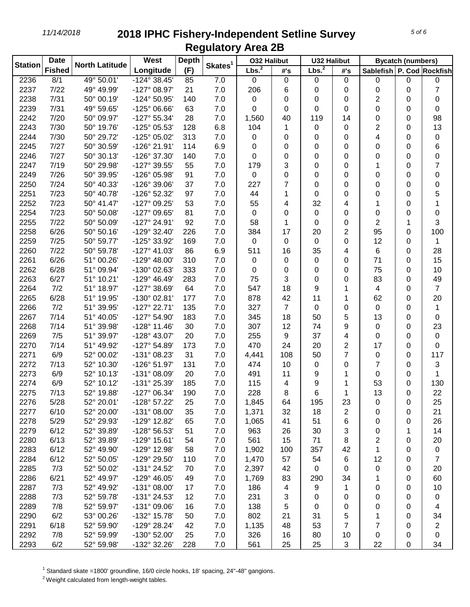| <b>Station</b> | <b>Date</b>   | <b>North Latitude</b> | West                  | <b>Depth</b> | Skates <sup>1</sup> | <b>032 Halibut</b> |             | <b>U32 Halibut</b> |                |                           | <b>Bycatch (numbers)</b> |                |
|----------------|---------------|-----------------------|-----------------------|--------------|---------------------|--------------------|-------------|--------------------|----------------|---------------------------|--------------------------|----------------|
|                | <b>Fished</b> |                       | Longitude             | (F)          |                     | Lbs. <sup>2</sup>  | #'s         | Lbs. <sup>2</sup>  | #'s            | Sablefish P. Cod Rockfish |                          |                |
| 2236           | 8/1           | 49° 50.01'            | $-124^{\circ}$ 38.45' | 85           | 7.0                 | 0                  | $\mathbf 0$ | 0                  | $\mathbf 0$    | 0                         | 0                        | 0              |
| 2237           | 7/22          | 49° 49.99'            | $-127^{\circ}$ 08.97' | 21           | 7.0                 | 206                | 6           | 0                  | 0              | 0                         | 0                        | 7              |
| 2238           | 7/31          | 50° 00.19'            | -124° 50.95'          | 140          | 7.0                 | 0                  | 0           | 0                  | 0              | 2                         | 0                        | 0              |
| 2239           | 7/31          | 49° 59.65'            | $-125^{\circ}$ 06.66' | 63           | 7.0                 | 0                  | 0           | 0                  | 0              | 0                         | 0                        | 0              |
| 2242           | 7/20          | 50° 09.97'            | $-127^{\circ}55.34'$  | 28           | 7.0                 | 1,560              | 40          | 119                | 14             | 0                         | 0                        | 98             |
| 2243           | 7/30          | 50° 19.76'            | -125° 05.53'          | 128          | 6.8                 | 104                | 1           | 0                  | 0              | 2                         | 0                        | 13             |
| 2244           | 7/30          | 50° 29.72'            | -125° 05.02'          | 313          | 7.0                 | 0                  | 0           | 0                  | 0              | 4                         | 0                        | 0              |
| 2245           | 7/27          | 50° 30.59'            | -126° 21.91'          | 114          | 6.9                 | 0                  | 0           | 0                  | 0              | 0                         | 0                        | 6              |
| 2246           | 7/27          | 50° 30.13'            | -126° 37.30'          | 140          | 7.0                 | 0                  | 0           | 0                  | 0              | 0                         | 0                        | 0              |
| 2247           | 7/19          | 50° 29.98'            | -127° 39.55'          | 55           | 7.0                 | 179                | 3           | 0                  | 0              | 1                         | 0                        | 7              |
| 2249           | 7/26          | 50° 39.95'            | -126° 05.98'          | 91           | 7.0                 | 0                  | 0           | 0                  | 0              | 0                         | 0                        | 0              |
| 2250           | 7/24          | 50° 40.33'            | -126° 39.06'          | 37           | 7.0                 | 227                | 7           | 0                  | 0              | 0                         | 0                        | 0              |
| 2251           | 7/23          | 50° 40.78'            | -126° 52.32'          | 97           | 7.0                 | 44                 | 1           | 0                  | 0              | 0                         | 0                        | 5              |
| 2252           | 7/23          | 50° 41.47'            | -127° 09.25'          | 53           | 7.0                 | 55                 | 4           | 32                 | 4              | 1                         | 0                        | 1              |
| 2254           | 7/23          | 50° 50.08'            | -127° 09.65'          | 81           | 7.0                 | 0                  | 0           | 0                  | 0              | 0                         | 0                        | 0              |
| 2255           | 7/22          | 50° 50.09'            | -127° 24.91'          | 92           | 7.0                 | 58                 | 1           | 0                  | 0              | 2                         | 1                        | 3              |
| 2258           | 6/26          | 50° 50.16'            | $-129°32.40'$         | 226          | 7.0                 | 384                | 17          | 20                 | $\overline{2}$ | 95                        | 0                        | 100            |
| 2259           | 7/25          | 50° 59.77'            | -125° 33.92'          | 169          | 7.0                 | 0                  | 0           | 0                  | 0              | 12                        | 0                        | 1              |
| 2260           | 7/22          | 50° 59.78'            | $-127^{\circ}$ 41.03' | 86           | 6.9                 | 511                | 16          | 35                 | 4              | 6                         | 0                        | 28             |
| 2261           | 6/26          | 51° 00.26'            | $-129^{\circ}$ 48.00' | 310          | 7.0                 | 0                  | 0           | 0                  | 0              | 71                        | 0                        | 15             |
| 2262           | 6/28          | 51° 09.94'            | -130° 02.63'          | 333          | 7.0                 | 0                  | 0           | 0                  | 0              | 75                        | 0                        | 10             |
| 2263           | 6/27          | 51° 10.21'            | $-129°$ 46.49'        | 283          | 7.0                 | 75                 | 3           | 0                  | 0              | 83                        | 0                        | 49             |
| 2264           | 7/2           | 51° 18.97'            | -127° 38.69'          | 64           | 7.0                 | 547                | 18          | 9                  | 1              | 4                         | 0                        | 7              |
| 2265           | 6/28          | 51° 19.95'            | -130° 02.81'          | 177          | 7.0                 | 878                | 42          | 11                 | 1              | 62                        | 0                        | 20             |
| 2266           | 7/2           | 51° 39.95'            | $-127^{\circ}$ 22.71' | 135          | 7.0                 | 327                | 7           | 0                  | 0              | $\mathbf 0$               | 0                        | 1              |
| 2267           | 7/14          | 51° 40.05'            | -127° 54.90'          | 183          | 7.0                 | 345                | 18          | 50                 | 5              | 13                        | 0                        | 0              |
| 2268           | 7/14          | 51° 39.98'            | $-128°11.46'$         | 30           | 7.0                 | 307                | 12          | 74                 | 9              | $\mathbf 0$               | 0                        | 23             |
| 2269           | 7/5           | 51° 39.97'            | -128° 43.07'          | 20           | 7.0                 | 255                | 9           | 37                 | 4              | 0                         | 0                        | 0              |
| 2270           | 7/14          | 51° 49.92'            | -127° 54.89'          | 173          | 7.0                 | 470                | 24          | 20                 | $\overline{2}$ | 17                        | 0                        | 0              |
| 2271           | 6/9           | 52° 00.02'            | -131° 08.23'          | 31           | 7.0                 | 4,441              | 108         | 50                 | $\overline{7}$ | 0                         | 0                        | 117            |
| 2272           | 7/13          | 52° 10.30'            | -126° 51.97'          | 131          | 7.0                 | 474                | 10          | 0                  | 0              | $\overline{7}$            | 0                        | 3              |
| 2273           | 6/9           | 52° 10.13'            | $-131^{\circ}$ 08.09' | 20           | 7.0                 | 491                | 11          | 9                  | 1              | 0                         | 0                        | 1              |
| 2274           | 6/9           | 52° 10.12'            | -131° 25.39'          | 185          | 7.0                 | 115                | 4           | 9                  | 1              | 53                        | 0                        | 130            |
| 2275           | 7/13          | 52° 19.88'            | $-127^{\circ}$ 06.34' | 190          | 7.0                 | 228                | 8           | 6                  | 1              | 13                        | 0                        | 22             |
| 2276           | 5/28          | 52° 20.01'            | $-128^{\circ}$ 57.22  | 25           | 7.0                 | 1,845              | 64          | 195                | 23             | 0                         | 0                        | 25             |
| 2277           | 6/10          | 52° 20.00'            | $-131^{\circ}$ 08.00' | 35           | 7.0                 | 1,371              | 32          | 18                 | $\overline{2}$ | 0                         | 0                        | 21             |
| 2278           | 5/29          | 52° 29.93'            | -129° 12.82'          | 65           | $7.0\,$             | 1,065              | 41          | 51                 | 6              | 0                         | 0                        | 26             |
| 2279           | 6/12          | 52° 39.89'            | -128° 56.53'          | 51           | 7.0                 | 963                | 26          | 30                 | 3              | 0                         | 1                        | 14             |
| 2280           | 6/13          | 52° 39.89'            | -129° 15.61'          | 54           | 7.0                 | 561                | 15          | 71                 | 8              | 2                         | 0                        | 20             |
| 2283           | 6/12          | 52° 49.90'            | -129° 12.98'          | 58           | 7.0                 | 1,902              | 100         | 357                | 42             | 1                         | 0                        | 0              |
| 2284           | 6/12          | 52° 50.05'            | -129° 29.50'          | 110          | 7.0                 | 1,470              | 57          | 54                 | 6              | 12                        | 0                        | $\overline{7}$ |
| 2285           | 7/3           | 52° 50.02'            | -131° 24.52'          | 70           | 7.0                 | 2,397              | 42          | 0                  | 0              | 0                         | 0                        | 20             |
| 2286           | 6/21          | 52° 49.97'            | -129° 46.05'          | 49           | 7.0                 | 1,769              | 83          | 290                | 34             | 1                         | 0                        | 60             |
| 2287           | 7/3           | 52° 49.92'            | $-131^{\circ}$ 08.00' | 17           | $7.0$               | 186                | 4           | 9                  | 1              | 0                         | 0                        | 10             |
| 2288           | 7/3           | 52° 59.78'            | -131° 24.53'          | 12           | 7.0                 | 231                | 3           | 0                  | 0              | 0                         | 0                        | 0              |
| 2289           | 7/8           | 52° 59.97'            | -131° 09.06'          | 16           | 7.0                 | 138                | 5           | 0                  | 0              | 0                         | 0                        | 4              |
| 2290           | 6/2           | 53° 00.26'            | -132° 15.78'          | 50           | 7.0                 | 802                | 21          | 31                 | 5              | 1                         | 0                        | 34             |
| 2291           | 6/18          | 52° 59.90'            | -129° 28.24'          | 42           | 7.0                 | 1,135              | 48          | 53                 | 7              | 7                         | 0                        | 2              |
| 2292           | 7/8           | 52° 59.99'            | -130° 52.00'          | 25           | 7.0                 | 326                | 16          | 80                 | 10             | 0                         | 0                        | 0              |
| 2293           | 6/2           | 52° 59.98'            | -132° 32.26'          | 228          | 7.0                 | 561                | 25          | 25                 | 3              | 22                        | 0                        | 34             |
|                |               |                       |                       |              |                     |                    |             |                    |                |                           |                          |                |

Standard skate =1800' groundline, 16/0 circle hooks, 18' spacing, 24"-48" gangions.